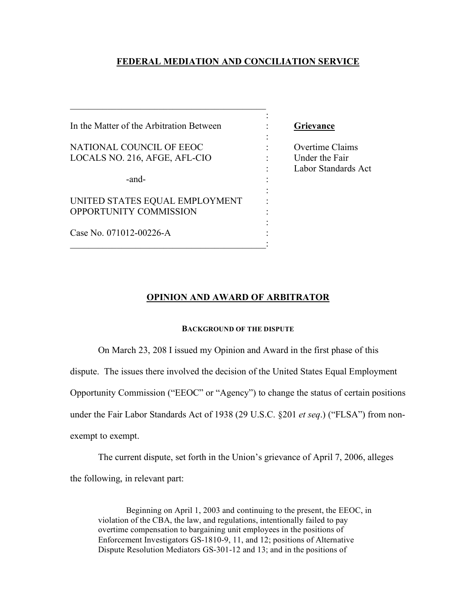# **FEDERAL MEDIATION AND CONCILIATION SERVICE**

:

:

:

:

In the Matter of the Arbitration Between : **Grievance**

 $\mathcal{L}_\text{max}$  , where  $\mathcal{L}_\text{max}$  and  $\mathcal{L}_\text{max}$  and  $\mathcal{L}_\text{max}$  and  $\mathcal{L}_\text{max}$ 

NATIONAL COUNCIL OF EEOC : Overtime Claims LOCALS NO. 216, AFGE, AFL-CIO : Under the Fair

-and-

UNITED STATES EQUAL EMPLOYMENT OPPORTUNITY COMMISSION :

 $\mathcal{L}_\text{max}$  and  $\mathcal{L}_\text{max}$  and  $\mathcal{L}_\text{max}$  and  $\mathcal{L}_\text{max}$ 

Case No. 071012-00226-A :

: Labor Standards Act

### **OPINION AND AWARD OF ARBITRATOR**

# **BACKGROUND OF THE DISPUTE**

On March 23, 208 I issued my Opinion and Award in the first phase of this

dispute. The issues there involved the decision of the United States Equal Employment

Opportunity Commission ("EEOC" or "Agency") to change the status of certain positions

under the Fair Labor Standards Act of 1938 (29 U.S.C. §201 *et seq*.) ("FLSA") from non-

exempt to exempt.

The current dispute, set forth in the Union's grievance of April 7, 2006, alleges the following, in relevant part:

Beginning on April 1, 2003 and continuing to the present, the EEOC, in violation of the CBA, the law, and regulations, intentionally failed to pay overtime compensation to bargaining unit employees in the positions of Enforcement Investigators GS-1810-9, 11, and 12; positions of Alternative Dispute Resolution Mediators GS-301-12 and 13; and in the positions of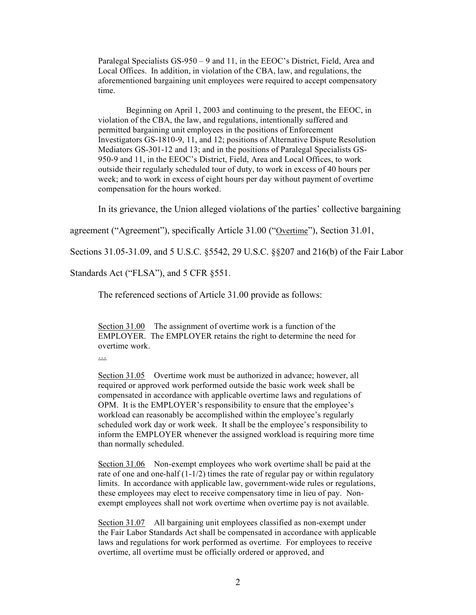Paralegal Specialists GS-950 – 9 and 11, in the EEOC's District, Field, Area and Local Offices. In addition, in violation of the CBA, law, and regulations, the aforementioned bargaining unit employees were required to accept compensatory time.

Beginning on April 1, 2003 and continuing to the present, the EEOC, in violation of the CBA, the law, and regulations, intentionally suffered and permitted bargaining unit employees in the positions of Enforcement Investigators GS-1810-9, 11, and 12; positions of Alternative Dispute Resolution Mediators GS-301-12 and 13; and in the positions of Paralegal Specialists GS-950-9 and 11, in the EEOC's District, Field, Area and Local Offices, to work outside their regularly scheduled tour of duty, to work in excess of 40 hours per week; and to work in excess of eight hours per day without payment of overtime compensation for the hours worked.

In its grievance, the Union alleged violations of the parties' collective bargaining

agreement ("Agreement"), specifically Article 31.00 ("Overtime"), Section 31.01,

Sections 31.05-31.09, and 5 U.S.C. §5542, 29 U.S.C. §§207 and 216(b) of the Fair Labor

Standards Act ("FLSA"), and 5 CFR §551.

The referenced sections of Article 31.00 provide as follows:

Section 31.00 The assignment of overtime work is a function of the EMPLOYER. The EMPLOYER retains the right to determine the need for overtime work.

…

Section 31.05 Overtime work must be authorized in advance; however, all required or approved work performed outside the basic work week shall be compensated in accordance with applicable overtime laws and regulations of OPM. It is the EMPLOYER's responsibility to ensure that the employee's workload can reasonably be accomplished within the employee's regularly scheduled work day or work week. It shall be the employee's responsibility to inform the EMPLOYER whenever the assigned workload is requiring more time than normally scheduled.

Section 31.06 Non-exempt employees who work overtime shall be paid at the rate of one and one-half  $(1-1/2)$  times the rate of regular pay or within regulatory limits. In accordance with applicable law, government-wide rules or regulations, these employees may elect to receive compensatory time in lieu of pay. Nonexempt employees shall not work overtime when overtime pay is not available.

Section 31.07 All bargaining unit employees classified as non-exempt under the Fair Labor Standards Act shall be compensated in accordance with applicable laws and regulations for work performed as overtime. For employees to receive overtime, all overtime must be officially ordered or approved, and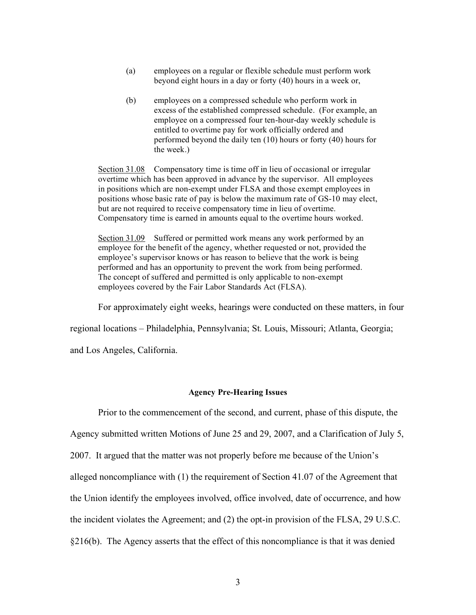- (a) employees on a regular or flexible schedule must perform work beyond eight hours in a day or forty (40) hours in a week or,
- (b) employees on a compressed schedule who perform work in excess of the established compressed schedule. (For example, an employee on a compressed four ten-hour-day weekly schedule is entitled to overtime pay for work officially ordered and performed beyond the daily ten (10) hours or forty (40) hours for the week.)

Section 31.08 Compensatory time is time off in lieu of occasional or irregular overtime which has been approved in advance by the supervisor. All employees in positions which are non-exempt under FLSA and those exempt employees in positions whose basic rate of pay is below the maximum rate of GS-10 may elect, but are not required to receive compensatory time in lieu of overtime. Compensatory time is earned in amounts equal to the overtime hours worked.

Section 31.09 Suffered or permitted work means any work performed by an employee for the benefit of the agency, whether requested or not, provided the employee's supervisor knows or has reason to believe that the work is being performed and has an opportunity to prevent the work from being performed. The concept of suffered and permitted is only applicable to non-exempt employees covered by the Fair Labor Standards Act (FLSA).

For approximately eight weeks, hearings were conducted on these matters, in four

regional locations – Philadelphia, Pennsylvania; St. Louis, Missouri; Atlanta, Georgia;

and Los Angeles, California.

# **Agency Pre-Hearing Issues**

Prior to the commencement of the second, and current, phase of this dispute, the

Agency submitted written Motions of June 25 and 29, 2007, and a Clarification of July 5,

2007. It argued that the matter was not properly before me because of the Union's

alleged noncompliance with (1) the requirement of Section 41.07 of the Agreement that

the Union identify the employees involved, office involved, date of occurrence, and how

the incident violates the Agreement; and (2) the opt-in provision of the FLSA, 29 U.S.C.

§216(b). The Agency asserts that the effect of this noncompliance is that it was denied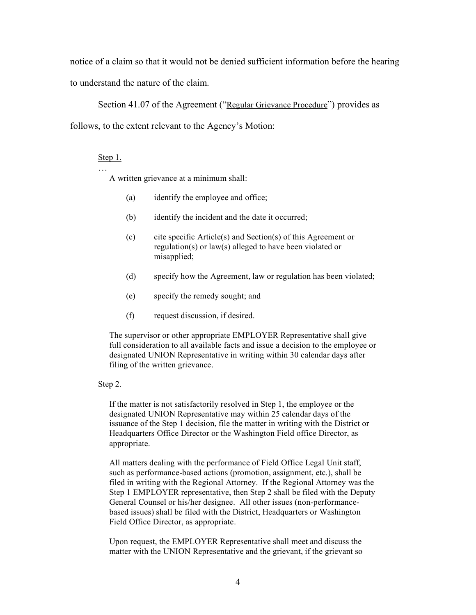notice of a claim so that it would not be denied sufficient information before the hearing to understand the nature of the claim.

Section 41.07 of the Agreement ("Regular Grievance Procedure") provides as follows, to the extent relevant to the Agency's Motion:

# Step 1.

…

A written grievance at a minimum shall:

- (a) identify the employee and office;
- (b) identify the incident and the date it occurred;
- (c) cite specific Article(s) and Section(s) of this Agreement or regulation(s) or law(s) alleged to have been violated or misapplied;
- (d) specify how the Agreement, law or regulation has been violated;
- (e) specify the remedy sought; and
- (f) request discussion, if desired.

The supervisor or other appropriate EMPLOYER Representative shall give full consideration to all available facts and issue a decision to the employee or designated UNION Representative in writing within 30 calendar days after filing of the written grievance.

#### Step 2.

If the matter is not satisfactorily resolved in Step 1, the employee or the designated UNION Representative may within 25 calendar days of the issuance of the Step 1 decision, file the matter in writing with the District or Headquarters Office Director or the Washington Field office Director, as appropriate.

All matters dealing with the performance of Field Office Legal Unit staff, such as performance-based actions (promotion, assignment, etc.), shall be filed in writing with the Regional Attorney. If the Regional Attorney was the Step 1 EMPLOYER representative, then Step 2 shall be filed with the Deputy General Counsel or his/her designee. All other issues (non-performancebased issues) shall be filed with the District, Headquarters or Washington Field Office Director, as appropriate.

Upon request, the EMPLOYER Representative shall meet and discuss the matter with the UNION Representative and the grievant, if the grievant so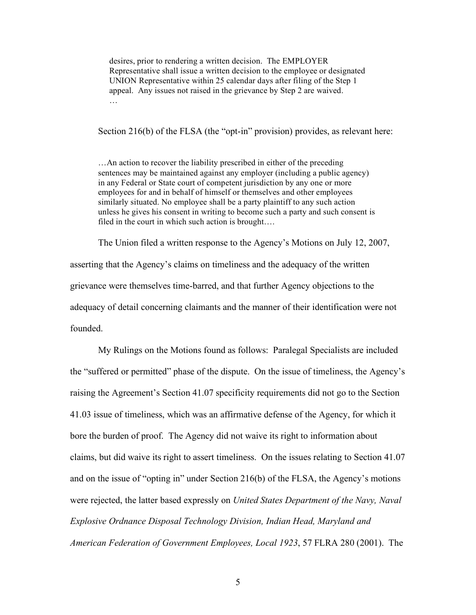desires, prior to rendering a written decision. The EMPLOYER Representative shall issue a written decision to the employee or designated UNION Representative within 25 calendar days after filing of the Step 1 appeal. Any issues not raised in the grievance by Step 2 are waived. …

Section 216(b) of the FLSA (the "opt-in" provision) provides, as relevant here:

…An action to recover the liability prescribed in either of the preceding sentences may be maintained against any employer (including a public agency) in any Federal or State court of competent jurisdiction by any one or more employees for and in behalf of himself or themselves and other employees similarly situated. No employee shall be a party plaintiff to any such action unless he gives his consent in writing to become such a party and such consent is filed in the court in which such action is brought….

The Union filed a written response to the Agency's Motions on July 12, 2007, asserting that the Agency's claims on timeliness and the adequacy of the written grievance were themselves time-barred, and that further Agency objections to the adequacy of detail concerning claimants and the manner of their identification were not founded.

My Rulings on the Motions found as follows: Paralegal Specialists are included the "suffered or permitted" phase of the dispute. On the issue of timeliness, the Agency's raising the Agreement's Section 41.07 specificity requirements did not go to the Section 41.03 issue of timeliness, which was an affirmative defense of the Agency, for which it bore the burden of proof. The Agency did not waive its right to information about claims, but did waive its right to assert timeliness. On the issues relating to Section 41.07 and on the issue of "opting in" under Section 216(b) of the FLSA, the Agency's motions were rejected, the latter based expressly on *United States Department of the Navy, Naval Explosive Ordnance Disposal Technology Division, Indian Head, Maryland and American Federation of Government Employees, Local 1923*, 57 FLRA 280 (2001). The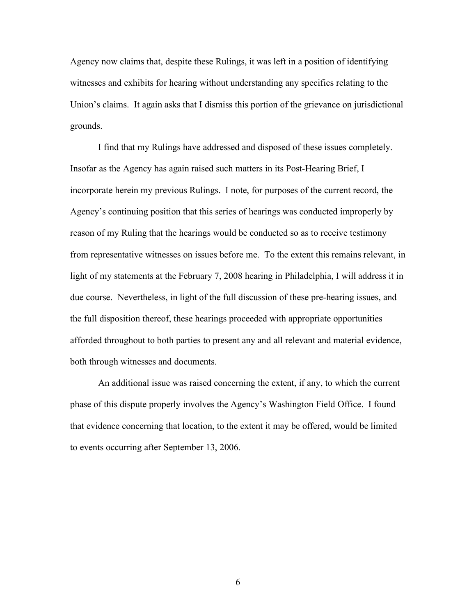Agency now claims that, despite these Rulings, it was left in a position of identifying witnesses and exhibits for hearing without understanding any specifics relating to the Union's claims. It again asks that I dismiss this portion of the grievance on jurisdictional grounds.

I find that my Rulings have addressed and disposed of these issues completely. Insofar as the Agency has again raised such matters in its Post-Hearing Brief, I incorporate herein my previous Rulings. I note, for purposes of the current record, the Agency's continuing position that this series of hearings was conducted improperly by reason of my Ruling that the hearings would be conducted so as to receive testimony from representative witnesses on issues before me. To the extent this remains relevant, in light of my statements at the February 7, 2008 hearing in Philadelphia, I will address it in due course. Nevertheless, in light of the full discussion of these pre-hearing issues, and the full disposition thereof, these hearings proceeded with appropriate opportunities afforded throughout to both parties to present any and all relevant and material evidence, both through witnesses and documents.

An additional issue was raised concerning the extent, if any, to which the current phase of this dispute properly involves the Agency's Washington Field Office. I found that evidence concerning that location, to the extent it may be offered, would be limited to events occurring after September 13, 2006.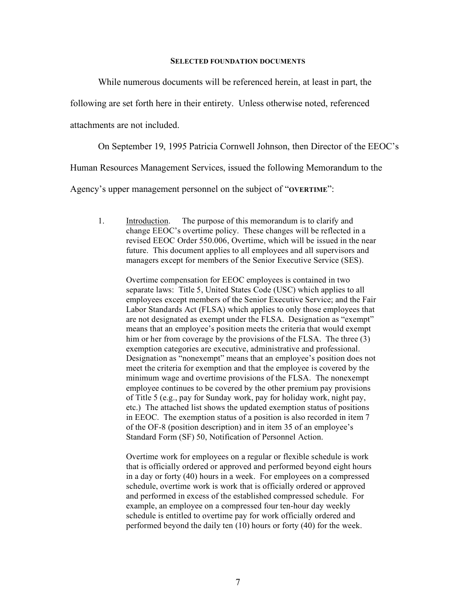#### **SELECTED FOUNDATION DOCUMENTS**

While numerous documents will be referenced herein, at least in part, the

following are set forth here in their entirety. Unless otherwise noted, referenced

attachments are not included.

On September 19, 1995 Patricia Cornwell Johnson, then Director of the EEOC's

Human Resources Management Services, issued the following Memorandum to the

Agency's upper management personnel on the subject of "**OVERTIME**":

1. Introduction. The purpose of this memorandum is to clarify and change EEOC's overtime policy. These changes will be reflected in a revised EEOC Order 550.006, Overtime, which will be issued in the near future. This document applies to all employees and all supervisors and managers except for members of the Senior Executive Service (SES).

Overtime compensation for EEOC employees is contained in two separate laws: Title 5, United States Code (USC) which applies to all employees except members of the Senior Executive Service; and the Fair Labor Standards Act (FLSA) which applies to only those employees that are not designated as exempt under the FLSA. Designation as "exempt" means that an employee's position meets the criteria that would exempt him or her from coverage by the provisions of the FLSA. The three (3) exemption categories are executive, administrative and professional. Designation as "nonexempt" means that an employee's position does not meet the criteria for exemption and that the employee is covered by the minimum wage and overtime provisions of the FLSA. The nonexempt employee continues to be covered by the other premium pay provisions of Title 5 (e.g., pay for Sunday work, pay for holiday work, night pay, etc.) The attached list shows the updated exemption status of positions in EEOC. The exemption status of a position is also recorded in item 7 of the OF-8 (position description) and in item 35 of an employee's Standard Form (SF) 50, Notification of Personnel Action.

Overtime work for employees on a regular or flexible schedule is work that is officially ordered or approved and performed beyond eight hours in a day or forty (40) hours in a week. For employees on a compressed schedule, overtime work is work that is officially ordered or approved and performed in excess of the established compressed schedule. For example, an employee on a compressed four ten-hour day weekly schedule is entitled to overtime pay for work officially ordered and performed beyond the daily ten (10) hours or forty (40) for the week.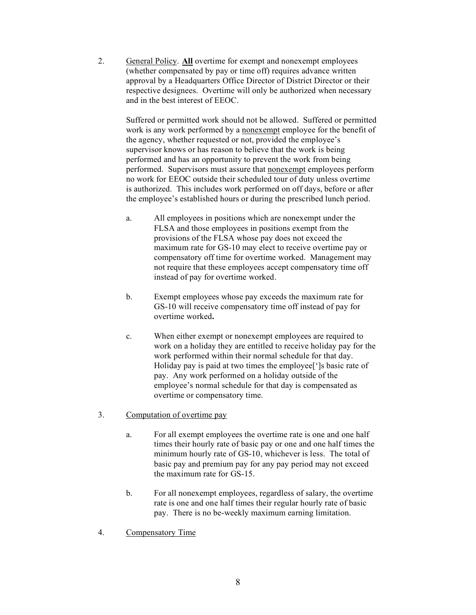2. General Policy. **All** overtime for exempt and nonexempt employees (whether compensated by pay or time off) requires advance written approval by a Headquarters Office Director of District Director or their respective designees. Overtime will only be authorized when necessary and in the best interest of EEOC.

> Suffered or permitted work should not be allowed. Suffered or permitted work is any work performed by a nonexempt employee for the benefit of the agency, whether requested or not, provided the employee's supervisor knows or has reason to believe that the work is being performed and has an opportunity to prevent the work from being performed. Supervisors must assure that nonexempt employees perform no work for EEOC outside their scheduled tour of duty unless overtime is authorized. This includes work performed on off days, before or after the employee's established hours or during the prescribed lunch period.

- a. All employees in positions which are nonexempt under the FLSA and those employees in positions exempt from the provisions of the FLSA whose pay does not exceed the maximum rate for GS-10 may elect to receive overtime pay or compensatory off time for overtime worked. Management may not require that these employees accept compensatory time off instead of pay for overtime worked.
- b. Exempt employees whose pay exceeds the maximum rate for GS-10 will receive compensatory time off instead of pay for overtime worked**.**
- c. When either exempt or nonexempt employees are required to work on a holiday they are entitled to receive holiday pay for the work performed within their normal schedule for that day. Holiday pay is paid at two times the employee[']s basic rate of pay. Any work performed on a holiday outside of the employee's normal schedule for that day is compensated as overtime or compensatory time.
- 3. Computation of overtime pay
	- a. For all exempt employees the overtime rate is one and one half times their hourly rate of basic pay or one and one half times the minimum hourly rate of GS-10, whichever is less. The total of basic pay and premium pay for any pay period may not exceed the maximum rate for GS-15.
	- b. For all nonexempt employees, regardless of salary, the overtime rate is one and one half times their regular hourly rate of basic pay. There is no be-weekly maximum earning limitation.
- 4. Compensatory Time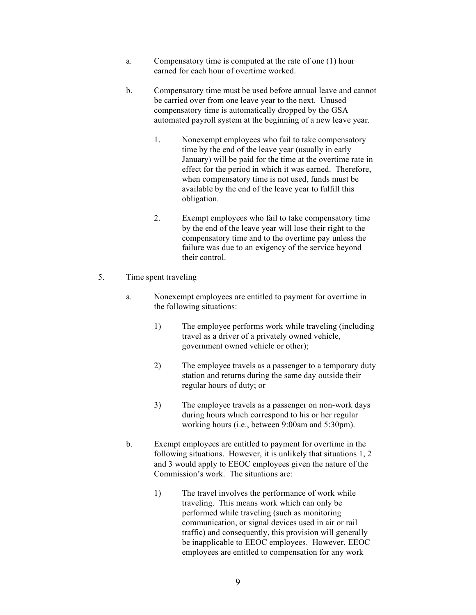- a. Compensatory time is computed at the rate of one (1) hour earned for each hour of overtime worked.
- b. Compensatory time must be used before annual leave and cannot be carried over from one leave year to the next. Unused compensatory time is automatically dropped by the GSA automated payroll system at the beginning of a new leave year.
	- 1. Nonexempt employees who fail to take compensatory time by the end of the leave year (usually in early January) will be paid for the time at the overtime rate in effect for the period in which it was earned. Therefore, when compensatory time is not used, funds must be available by the end of the leave year to fulfill this obligation.
	- 2. Exempt employees who fail to take compensatory time by the end of the leave year will lose their right to the compensatory time and to the overtime pay unless the failure was due to an exigency of the service beyond their control.
- 5. Time spent traveling
	- a. Nonexempt employees are entitled to payment for overtime in the following situations:
		- 1) The employee performs work while traveling (including travel as a driver of a privately owned vehicle, government owned vehicle or other);
		- 2) The employee travels as a passenger to a temporary duty station and returns during the same day outside their regular hours of duty; or
		- 3) The employee travels as a passenger on non-work days during hours which correspond to his or her regular working hours (i.e., between 9:00am and 5:30pm).
	- b. Exempt employees are entitled to payment for overtime in the following situations. However, it is unlikely that situations 1, 2 and 3 would apply to EEOC employees given the nature of the Commission's work. The situations are:
		- 1) The travel involves the performance of work while traveling. This means work which can only be performed while traveling (such as monitoring communication, or signal devices used in air or rail traffic) and consequently, this provision will generally be inapplicable to EEOC employees. However, EEOC employees are entitled to compensation for any work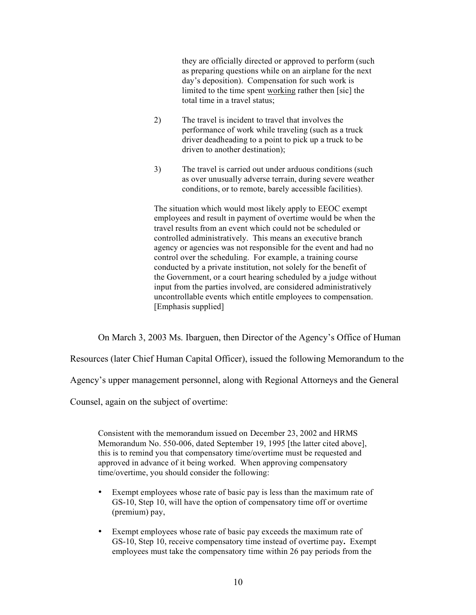they are officially directed or approved to perform (such as preparing questions while on an airplane for the next day's deposition). Compensation for such work is limited to the time spent working rather then [sic] the total time in a travel status;

- 2) The travel is incident to travel that involves the performance of work while traveling (such as a truck driver deadheading to a point to pick up a truck to be driven to another destination);
- 3) The travel is carried out under arduous conditions (such as over unusually adverse terrain, during severe weather conditions, or to remote, barely accessible facilities).

The situation which would most likely apply to EEOC exempt employees and result in payment of overtime would be when the travel results from an event which could not be scheduled or controlled administratively. This means an executive branch agency or agencies was not responsible for the event and had no control over the scheduling. For example, a training course conducted by a private institution, not solely for the benefit of the Government, or a court hearing scheduled by a judge without input from the parties involved, are considered administratively uncontrollable events which entitle employees to compensation. [Emphasis supplied]

On March 3, 2003 Ms. Ibarguen, then Director of the Agency's Office of Human

Resources (later Chief Human Capital Officer), issued the following Memorandum to the

Agency's upper management personnel, along with Regional Attorneys and the General

Counsel, again on the subject of overtime:

Consistent with the memorandum issued on December 23, 2002 and HRMS Memorandum No. 550-006, dated September 19, 1995 [the latter cited above], this is to remind you that compensatory time/overtime must be requested and approved in advance of it being worked. When approving compensatory time/overtime, you should consider the following:

- Exempt employees whose rate of basic pay is less than the maximum rate of GS-10, Step 10, will have the option of compensatory time off or overtime (premium) pay,
- Exempt employees whose rate of basic pay exceeds the maximum rate of GS-10, Step 10, receive compensatory time instead of overtime pay**.** Exempt employees must take the compensatory time within 26 pay periods from the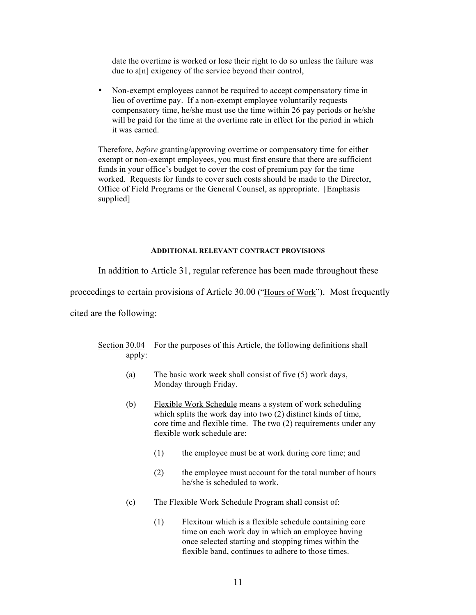date the overtime is worked or lose their right to do so unless the failure was due to a[n] exigency of the service beyond their control,

• Non-exempt employees cannot be required to accept compensatory time in lieu of overtime pay. If a non-exempt employee voluntarily requests compensatory time, he/she must use the time within 26 pay periods or he/she will be paid for the time at the overtime rate in effect for the period in which it was earned.

Therefore, *before* granting/approving overtime or compensatory time for either exempt or non-exempt employees, you must first ensure that there are sufficient funds in your office's budget to cover the cost of premium pay for the time worked. Requests for funds to cover such costs should be made to the Director, Office of Field Programs or the General Counsel, as appropriate. [Emphasis supplied]

### **ADDITIONAL RELEVANT CONTRACT PROVISIONS**

In addition to Article 31, regular reference has been made throughout these

proceedings to certain provisions of Article 30.00 ("Hours of Work"). Most frequently

cited are the following:

- Section 30.04 For the purposes of this Article, the following definitions shall apply:
	- (a) The basic work week shall consist of five (5) work days, Monday through Friday.
	- (b) Flexible Work Schedule means a system of work scheduling which splits the work day into two (2) distinct kinds of time, core time and flexible time. The two (2) requirements under any flexible work schedule are:
		- (1) the employee must be at work during core time; and
		- (2) the employee must account for the total number of hours he/she is scheduled to work.
	- (c) The Flexible Work Schedule Program shall consist of:
		- (1) Flexitour which is a flexible schedule containing core time on each work day in which an employee having once selected starting and stopping times within the flexible band, continues to adhere to those times.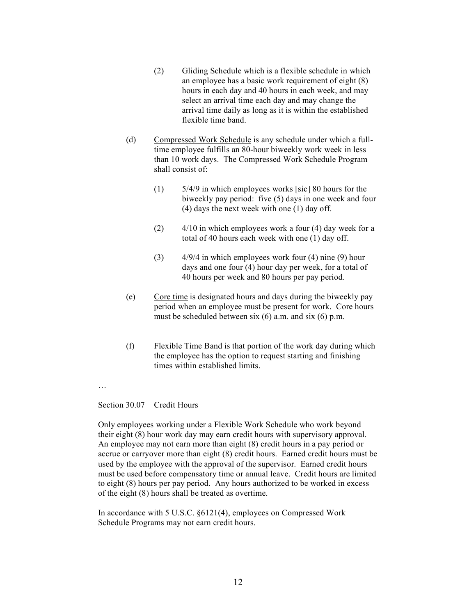- (2) Gliding Schedule which is a flexible schedule in which an employee has a basic work requirement of eight (8) hours in each day and 40 hours in each week, and may select an arrival time each day and may change the arrival time daily as long as it is within the established flexible time band.
- (d) Compressed Work Schedule is any schedule under which a fulltime employee fulfills an 80-hour biweekly work week in less than 10 work days. The Compressed Work Schedule Program shall consist of:
	- (1) 5/4/9 in which employees works [sic] 80 hours for the biweekly pay period: five (5) days in one week and four (4) days the next week with one (1) day off.
	- (2)  $4/10$  in which employees work a four (4) day week for a total of 40 hours each week with one (1) day off.
	- (3) 4/9/4 in which employees work four (4) nine (9) hour days and one four (4) hour day per week, for a total of 40 hours per week and 80 hours per pay period.
- (e) Core time is designated hours and days during the biweekly pay period when an employee must be present for work. Core hours must be scheduled between six (6) a.m. and six (6) p.m.
- (f) Flexible Time Band is that portion of the work day during which the employee has the option to request starting and finishing times within established limits.
- …

# Section 30.07 Credit Hours

Only employees working under a Flexible Work Schedule who work beyond their eight (8) hour work day may earn credit hours with supervisory approval. An employee may not earn more than eight (8) credit hours in a pay period or accrue or carryover more than eight (8) credit hours. Earned credit hours must be used by the employee with the approval of the supervisor. Earned credit hours must be used before compensatory time or annual leave. Credit hours are limited to eight (8) hours per pay period. Any hours authorized to be worked in excess of the eight (8) hours shall be treated as overtime.

In accordance with 5 U.S.C. §6121(4), employees on Compressed Work Schedule Programs may not earn credit hours.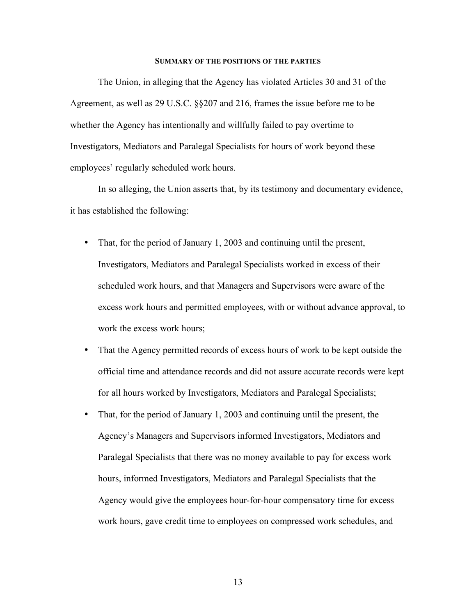#### **SUMMARY OF THE POSITIONS OF THE PARTIES**

The Union, in alleging that the Agency has violated Articles 30 and 31 of the Agreement, as well as 29 U.S.C. §§207 and 216, frames the issue before me to be whether the Agency has intentionally and willfully failed to pay overtime to Investigators, Mediators and Paralegal Specialists for hours of work beyond these employees' regularly scheduled work hours.

In so alleging, the Union asserts that, by its testimony and documentary evidence, it has established the following:

- That, for the period of January 1, 2003 and continuing until the present, Investigators, Mediators and Paralegal Specialists worked in excess of their scheduled work hours, and that Managers and Supervisors were aware of the excess work hours and permitted employees, with or without advance approval, to work the excess work hours;
- That the Agency permitted records of excess hours of work to be kept outside the official time and attendance records and did not assure accurate records were kept for all hours worked by Investigators, Mediators and Paralegal Specialists;
- That, for the period of January 1, 2003 and continuing until the present, the Agency's Managers and Supervisors informed Investigators, Mediators and Paralegal Specialists that there was no money available to pay for excess work hours, informed Investigators, Mediators and Paralegal Specialists that the Agency would give the employees hour-for-hour compensatory time for excess work hours, gave credit time to employees on compressed work schedules, and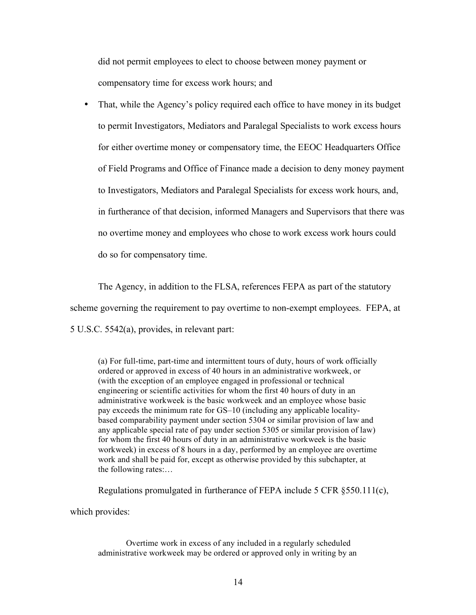did not permit employees to elect to choose between money payment or compensatory time for excess work hours; and

• That, while the Agency's policy required each office to have money in its budget to permit Investigators, Mediators and Paralegal Specialists to work excess hours for either overtime money or compensatory time, the EEOC Headquarters Office of Field Programs and Office of Finance made a decision to deny money payment to Investigators, Mediators and Paralegal Specialists for excess work hours, and, in furtherance of that decision, informed Managers and Supervisors that there was no overtime money and employees who chose to work excess work hours could do so for compensatory time.

The Agency, in addition to the FLSA, references FEPA as part of the statutory scheme governing the requirement to pay overtime to non-exempt employees. FEPA, at 5 U.S.C. 5542(a), provides, in relevant part:

(a) For full-time, part-time and intermittent tours of duty, hours of work officially ordered or approved in excess of 40 hours in an administrative workweek, or (with the exception of an employee engaged in professional or technical engineering or scientific activities for whom the first 40 hours of duty in an administrative workweek is the basic workweek and an employee whose basic pay exceeds the minimum rate for GS–10 (including any applicable localitybased comparability payment under section 5304 or similar provision of law and any applicable special rate of pay under section 5305 or similar provision of law) for whom the first 40 hours of duty in an administrative workweek is the basic workweek) in excess of 8 hours in a day, performed by an employee are overtime work and shall be paid for, except as otherwise provided by this subchapter, at the following rates:…

Regulations promulgated in furtherance of FEPA include 5 CFR §550.111(c),

which provides:

Overtime work in excess of any included in a regularly scheduled administrative workweek may be ordered or approved only in writing by an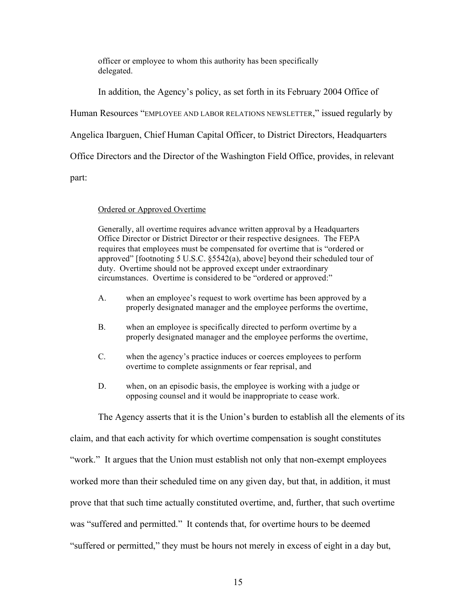officer or employee to whom this authority has been specifically delegated.

In addition, the Agency's policy, as set forth in its February 2004 Office of

Human Resources "EMPLOYEE AND LABOR RELATIONS NEWSLETTER," issued regularly by

Angelica Ibarguen, Chief Human Capital Officer, to District Directors, Headquarters

Office Directors and the Director of the Washington Field Office, provides, in relevant

part:

# Ordered or Approved Overtime

Generally, all overtime requires advance written approval by a Headquarters Office Director or District Director or their respective designees. The FEPA requires that employees must be compensated for overtime that is "ordered or approved" [footnoting 5 U.S.C. §5542(a), above] beyond their scheduled tour of duty. Overtime should not be approved except under extraordinary circumstances. Overtime is considered to be "ordered or approved:"

- A. when an employee's request to work overtime has been approved by a properly designated manager and the employee performs the overtime,
- B. when an employee is specifically directed to perform overtime by a properly designated manager and the employee performs the overtime,
- C. when the agency's practice induces or coerces employees to perform overtime to complete assignments or fear reprisal, and
- D. when, on an episodic basis, the employee is working with a judge or opposing counsel and it would be inappropriate to cease work.

The Agency asserts that it is the Union's burden to establish all the elements of its

claim, and that each activity for which overtime compensation is sought constitutes

"work." It argues that the Union must establish not only that non-exempt employees

worked more than their scheduled time on any given day, but that, in addition, it must

prove that that such time actually constituted overtime, and, further, that such overtime

was "suffered and permitted." It contends that, for overtime hours to be deemed

"suffered or permitted," they must be hours not merely in excess of eight in a day but,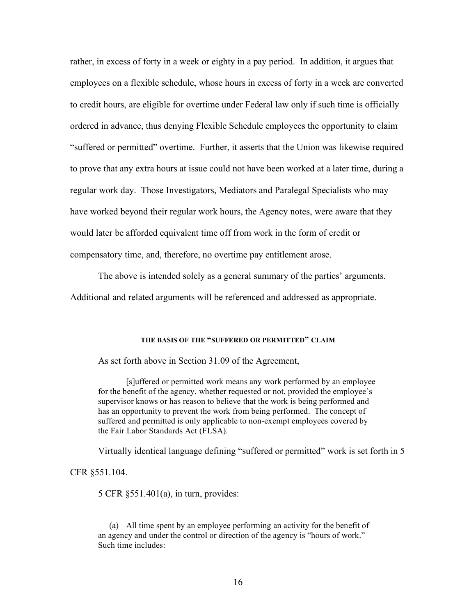rather, in excess of forty in a week or eighty in a pay period. In addition, it argues that employees on a flexible schedule, whose hours in excess of forty in a week are converted to credit hours, are eligible for overtime under Federal law only if such time is officially ordered in advance, thus denying Flexible Schedule employees the opportunity to claim "suffered or permitted" overtime. Further, it asserts that the Union was likewise required to prove that any extra hours at issue could not have been worked at a later time, during a regular work day. Those Investigators, Mediators and Paralegal Specialists who may have worked beyond their regular work hours, the Agency notes, were aware that they would later be afforded equivalent time off from work in the form of credit or compensatory time, and, therefore, no overtime pay entitlement arose.

The above is intended solely as a general summary of the parties' arguments. Additional and related arguments will be referenced and addressed as appropriate.

# **THE BASIS OF THE "SUFFERED OR PERMITTED" CLAIM**

As set forth above in Section 31.09 of the Agreement,

[s]uffered or permitted work means any work performed by an employee for the benefit of the agency, whether requested or not, provided the employee's supervisor knows or has reason to believe that the work is being performed and has an opportunity to prevent the work from being performed. The concept of suffered and permitted is only applicable to non-exempt employees covered by the Fair Labor Standards Act (FLSA).

Virtually identical language defining "suffered or permitted" work is set forth in 5

CFR §551.104.

5 CFR §551.401(a), in turn, provides:

(a) All time spent by an employee performing an activity for the benefit of an agency and under the control or direction of the agency is "hours of work." Such time includes: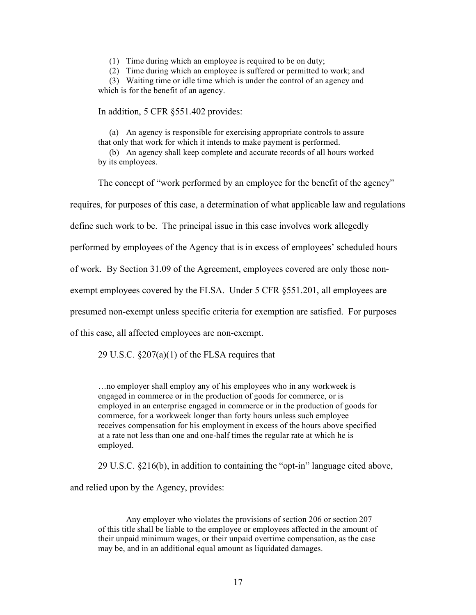(1) Time during which an employee is required to be on duty;

(2) Time during which an employee is suffered or permitted to work; and

(3) Waiting time or idle time which is under the control of an agency and which is for the benefit of an agency.

In addition, 5 CFR §551.402 provides:

(a) An agency is responsible for exercising appropriate controls to assure that only that work for which it intends to make payment is performed.

(b) An agency shall keep complete and accurate records of all hours worked by its employees.

The concept of "work performed by an employee for the benefit of the agency"

requires, for purposes of this case, a determination of what applicable law and regulations

define such work to be. The principal issue in this case involves work allegedly

performed by employees of the Agency that is in excess of employees' scheduled hours

of work. By Section 31.09 of the Agreement, employees covered are only those non-

exempt employees covered by the FLSA. Under 5 CFR §551.201, all employees are

presumed non-exempt unless specific criteria for exemption are satisfied. For purposes

of this case, all affected employees are non-exempt.

29 U.S.C.  $\S 207(a)(1)$  of the FLSA requires that

…no employer shall employ any of his employees who in any workweek is engaged in commerce or in the production of goods for commerce, or is employed in an enterprise engaged in commerce or in the production of goods for commerce, for a workweek longer than forty hours unless such employee receives compensation for his employment in excess of the hours above specified at a rate not less than one and one-half times the regular rate at which he is employed.

29 U.S.C. §216(b), in addition to containing the "opt-in" language cited above,

and relied upon by the Agency, provides:

Any employer who violates the provisions of section 206 or section 207 of this title shall be liable to the employee or employees affected in the amount of their unpaid minimum wages, or their unpaid overtime compensation, as the case may be, and in an additional equal amount as liquidated damages.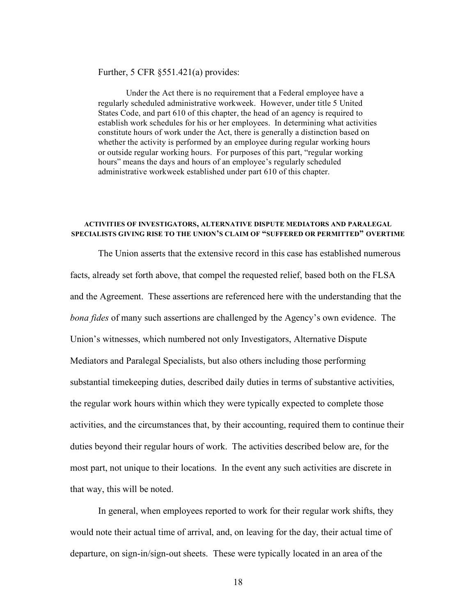Further, 5 CFR §551.421(a) provides:

Under the Act there is no requirement that a Federal employee have a regularly scheduled administrative workweek. However, under title 5 United States Code, and part 610 of this chapter, the head of an agency is required to establish work schedules for his or her employees. In determining what activities constitute hours of work under the Act, there is generally a distinction based on whether the activity is performed by an employee during regular working hours or outside regular working hours. For purposes of this part, "regular working hours" means the days and hours of an employee's regularly scheduled administrative workweek established under part 610 of this chapter.

# **ACTIVITIES OF INVESTIGATORS, ALTERNATIVE DISPUTE MEDIATORS AND PARALEGAL SPECIALISTS GIVING RISE TO THE UNION'S CLAIM OF "SUFFERED OR PERMITTED" OVERTIME**

The Union asserts that the extensive record in this case has established numerous facts, already set forth above, that compel the requested relief, based both on the FLSA and the Agreement. These assertions are referenced here with the understanding that the *bona fides* of many such assertions are challenged by the Agency's own evidence. The Union's witnesses, which numbered not only Investigators, Alternative Dispute Mediators and Paralegal Specialists, but also others including those performing substantial timekeeping duties, described daily duties in terms of substantive activities, the regular work hours within which they were typically expected to complete those activities, and the circumstances that, by their accounting, required them to continue their duties beyond their regular hours of work. The activities described below are, for the most part, not unique to their locations. In the event any such activities are discrete in that way, this will be noted.

In general, when employees reported to work for their regular work shifts, they would note their actual time of arrival, and, on leaving for the day, their actual time of departure, on sign-in/sign-out sheets. These were typically located in an area of the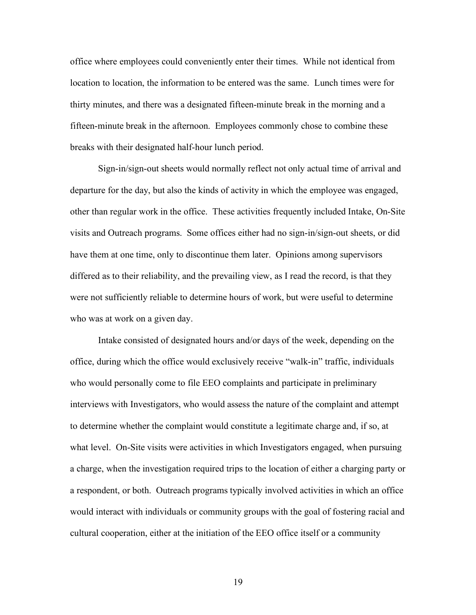office where employees could conveniently enter their times. While not identical from location to location, the information to be entered was the same. Lunch times were for thirty minutes, and there was a designated fifteen-minute break in the morning and a fifteen-minute break in the afternoon. Employees commonly chose to combine these breaks with their designated half-hour lunch period.

Sign-in/sign-out sheets would normally reflect not only actual time of arrival and departure for the day, but also the kinds of activity in which the employee was engaged, other than regular work in the office. These activities frequently included Intake, On-Site visits and Outreach programs. Some offices either had no sign-in/sign-out sheets, or did have them at one time, only to discontinue them later. Opinions among supervisors differed as to their reliability, and the prevailing view, as I read the record, is that they were not sufficiently reliable to determine hours of work, but were useful to determine who was at work on a given day.

Intake consisted of designated hours and/or days of the week, depending on the office, during which the office would exclusively receive "walk-in" traffic, individuals who would personally come to file EEO complaints and participate in preliminary interviews with Investigators, who would assess the nature of the complaint and attempt to determine whether the complaint would constitute a legitimate charge and, if so, at what level. On-Site visits were activities in which Investigators engaged, when pursuing a charge, when the investigation required trips to the location of either a charging party or a respondent, or both. Outreach programs typically involved activities in which an office would interact with individuals or community groups with the goal of fostering racial and cultural cooperation, either at the initiation of the EEO office itself or a community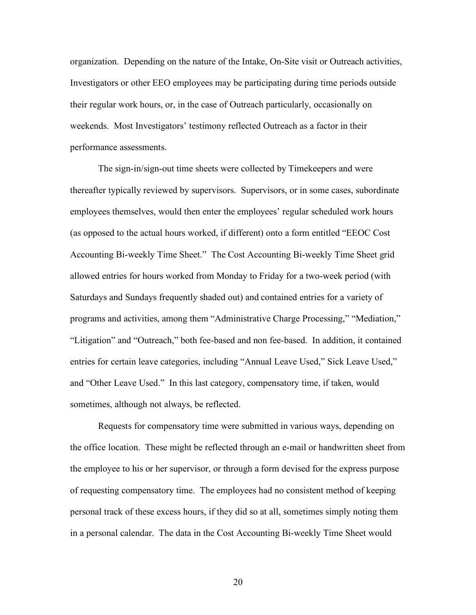organization. Depending on the nature of the Intake, On-Site visit or Outreach activities, Investigators or other EEO employees may be participating during time periods outside their regular work hours, or, in the case of Outreach particularly, occasionally on weekends. Most Investigators' testimony reflected Outreach as a factor in their performance assessments.

The sign-in/sign-out time sheets were collected by Timekeepers and were thereafter typically reviewed by supervisors. Supervisors, or in some cases, subordinate employees themselves, would then enter the employees' regular scheduled work hours (as opposed to the actual hours worked, if different) onto a form entitled "EEOC Cost Accounting Bi-weekly Time Sheet." The Cost Accounting Bi-weekly Time Sheet grid allowed entries for hours worked from Monday to Friday for a two-week period (with Saturdays and Sundays frequently shaded out) and contained entries for a variety of programs and activities, among them "Administrative Charge Processing," "Mediation," "Litigation" and "Outreach," both fee-based and non fee-based. In addition, it contained entries for certain leave categories, including "Annual Leave Used," Sick Leave Used," and "Other Leave Used." In this last category, compensatory time, if taken, would sometimes, although not always, be reflected.

Requests for compensatory time were submitted in various ways, depending on the office location. These might be reflected through an e-mail or handwritten sheet from the employee to his or her supervisor, or through a form devised for the express purpose of requesting compensatory time. The employees had no consistent method of keeping personal track of these excess hours, if they did so at all, sometimes simply noting them in a personal calendar. The data in the Cost Accounting Bi-weekly Time Sheet would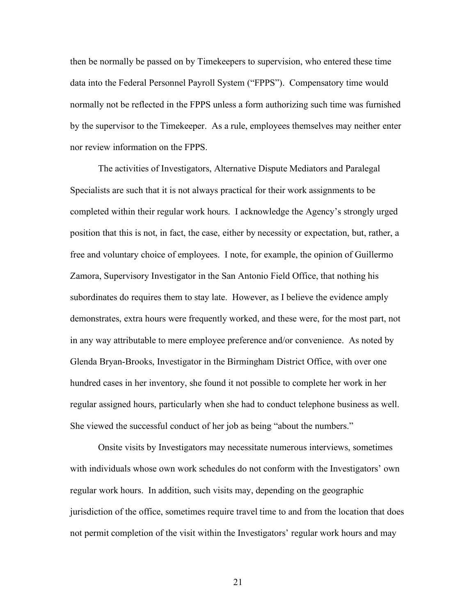then be normally be passed on by Timekeepers to supervision, who entered these time data into the Federal Personnel Payroll System ("FPPS"). Compensatory time would normally not be reflected in the FPPS unless a form authorizing such time was furnished by the supervisor to the Timekeeper. As a rule, employees themselves may neither enter nor review information on the FPPS.

The activities of Investigators, Alternative Dispute Mediators and Paralegal Specialists are such that it is not always practical for their work assignments to be completed within their regular work hours. I acknowledge the Agency's strongly urged position that this is not, in fact, the case, either by necessity or expectation, but, rather, a free and voluntary choice of employees. I note, for example, the opinion of Guillermo Zamora, Supervisory Investigator in the San Antonio Field Office, that nothing his subordinates do requires them to stay late. However, as I believe the evidence amply demonstrates, extra hours were frequently worked, and these were, for the most part, not in any way attributable to mere employee preference and/or convenience. As noted by Glenda Bryan-Brooks, Investigator in the Birmingham District Office, with over one hundred cases in her inventory, she found it not possible to complete her work in her regular assigned hours, particularly when she had to conduct telephone business as well. She viewed the successful conduct of her job as being "about the numbers."

Onsite visits by Investigators may necessitate numerous interviews, sometimes with individuals whose own work schedules do not conform with the Investigators' own regular work hours. In addition, such visits may, depending on the geographic jurisdiction of the office, sometimes require travel time to and from the location that does not permit completion of the visit within the Investigators' regular work hours and may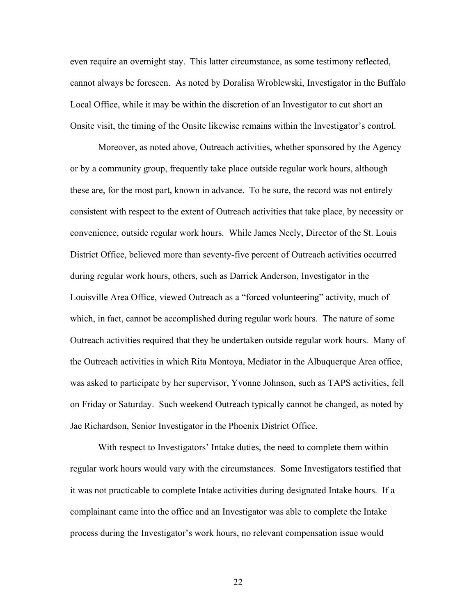even require an overnight stay. This latter circumstance, as some testimony reflected, cannot always be foreseen. As noted by Doralisa Wroblewski, Investigator in the Buffalo Local Office, while it may be within the discretion of an Investigator to cut short an Onsite visit, the timing of the Onsite likewise remains within the Investigator's control.

Moreover, as noted above, Outreach activities, whether sponsored by the Agency or by a community group, frequently take place outside regular work hours, although these are, for the most part, known in advance. To be sure, the record was not entirely consistent with respect to the extent of Outreach activities that take place, by necessity or convenience, outside regular work hours. While James Neely, Director of the St. Louis District Office, believed more than seventy-five percent of Outreach activities occurred during regular work hours, others, such as Darrick Anderson, Investigator in the Louisville Area Office, viewed Outreach as a "forced volunteering" activity, much of which, in fact, cannot be accomplished during regular work hours. The nature of some Outreach activities required that they be undertaken outside regular work hours. Many of the Outreach activities in which Rita Montoya, Mediator in the Albuquerque Area office, was asked to participate by her supervisor, Yvonne Johnson, such as TAPS activities, fell on Friday or Saturday. Such weekend Outreach typically cannot be changed, as noted by Jae Richardson, Senior Investigator in the Phoenix District Office.

With respect to Investigators' Intake duties, the need to complete them within regular work hours would vary with the circumstances. Some Investigators testified that it was not practicable to complete Intake activities during designated Intake hours. If a complainant came into the office and an Investigator was able to complete the Intake process during the Investigator's work hours, no relevant compensation issue would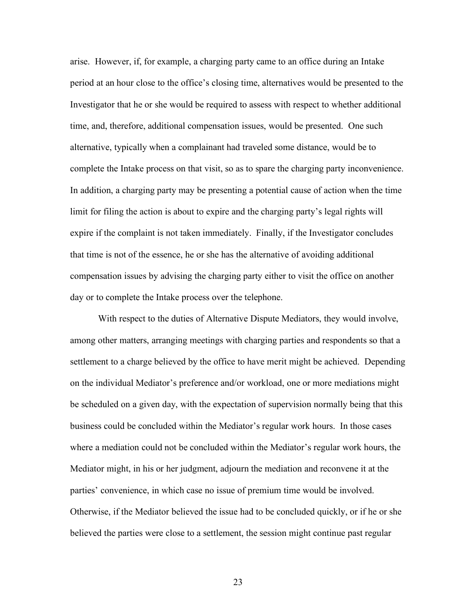arise. However, if, for example, a charging party came to an office during an Intake period at an hour close to the office's closing time, alternatives would be presented to the Investigator that he or she would be required to assess with respect to whether additional time, and, therefore, additional compensation issues, would be presented. One such alternative, typically when a complainant had traveled some distance, would be to complete the Intake process on that visit, so as to spare the charging party inconvenience. In addition, a charging party may be presenting a potential cause of action when the time limit for filing the action is about to expire and the charging party's legal rights will expire if the complaint is not taken immediately. Finally, if the Investigator concludes that time is not of the essence, he or she has the alternative of avoiding additional compensation issues by advising the charging party either to visit the office on another day or to complete the Intake process over the telephone.

With respect to the duties of Alternative Dispute Mediators, they would involve, among other matters, arranging meetings with charging parties and respondents so that a settlement to a charge believed by the office to have merit might be achieved. Depending on the individual Mediator's preference and/or workload, one or more mediations might be scheduled on a given day, with the expectation of supervision normally being that this business could be concluded within the Mediator's regular work hours. In those cases where a mediation could not be concluded within the Mediator's regular work hours, the Mediator might, in his or her judgment, adjourn the mediation and reconvene it at the parties' convenience, in which case no issue of premium time would be involved. Otherwise, if the Mediator believed the issue had to be concluded quickly, or if he or she believed the parties were close to a settlement, the session might continue past regular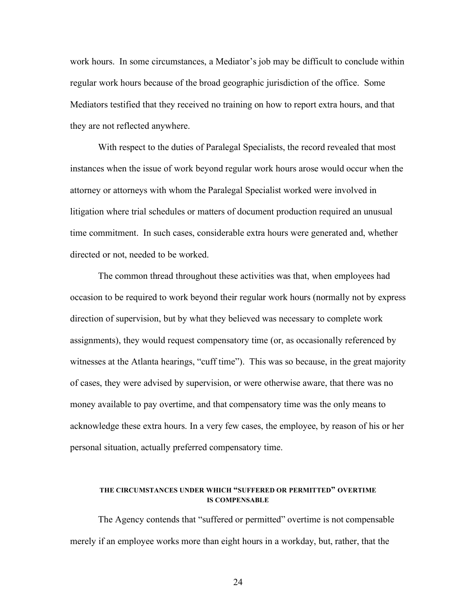work hours. In some circumstances, a Mediator's job may be difficult to conclude within regular work hours because of the broad geographic jurisdiction of the office. Some Mediators testified that they received no training on how to report extra hours, and that they are not reflected anywhere.

With respect to the duties of Paralegal Specialists, the record revealed that most instances when the issue of work beyond regular work hours arose would occur when the attorney or attorneys with whom the Paralegal Specialist worked were involved in litigation where trial schedules or matters of document production required an unusual time commitment. In such cases, considerable extra hours were generated and, whether directed or not, needed to be worked.

The common thread throughout these activities was that, when employees had occasion to be required to work beyond their regular work hours (normally not by express direction of supervision, but by what they believed was necessary to complete work assignments), they would request compensatory time (or, as occasionally referenced by witnesses at the Atlanta hearings, "cuff time"). This was so because, in the great majority of cases, they were advised by supervision, or were otherwise aware, that there was no money available to pay overtime, and that compensatory time was the only means to acknowledge these extra hours. In a very few cases, the employee, by reason of his or her personal situation, actually preferred compensatory time.

### **THE CIRCUMSTANCES UNDER WHICH "SUFFERED OR PERMITTED" OVERTIME IS COMPENSABLE**

The Agency contends that "suffered or permitted" overtime is not compensable merely if an employee works more than eight hours in a workday, but, rather, that the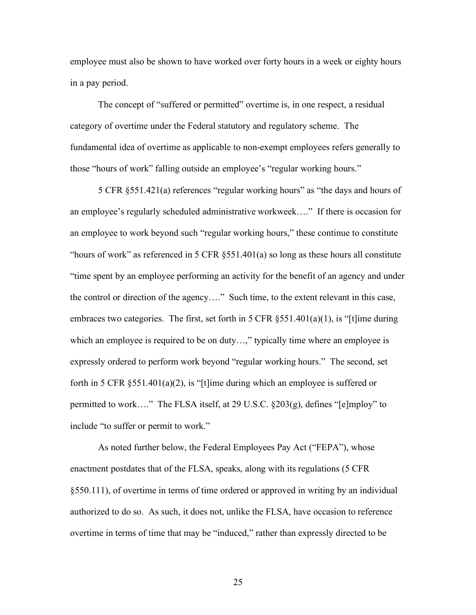employee must also be shown to have worked over forty hours in a week or eighty hours in a pay period.

The concept of "suffered or permitted" overtime is, in one respect, a residual category of overtime under the Federal statutory and regulatory scheme. The fundamental idea of overtime as applicable to non-exempt employees refers generally to those "hours of work" falling outside an employee's "regular working hours."

5 CFR §551.421(a) references "regular working hours" as "the days and hours of an employee's regularly scheduled administrative workweek…." If there is occasion for an employee to work beyond such "regular working hours," these continue to constitute "hours of work" as referenced in 5 CFR §551.401(a) so long as these hours all constitute "time spent by an employee performing an activity for the benefit of an agency and under the control or direction of the agency…." Such time, to the extent relevant in this case, embraces two categories. The first, set forth in 5 CFR  $\S 551.401(a)(1)$ , is "[t]ime during which an employee is required to be on duty...," typically time where an employee is expressly ordered to perform work beyond "regular working hours." The second, set forth in 5 CFR  $\S 551.401(a)(2)$ , is "[t]ime during which an employee is suffered or permitted to work…." The FLSA itself, at 29 U.S.C. §203(g), defines "[e]mploy" to include "to suffer or permit to work."

As noted further below, the Federal Employees Pay Act ("FEPA"), whose enactment postdates that of the FLSA, speaks, along with its regulations (5 CFR §550.111), of overtime in terms of time ordered or approved in writing by an individual authorized to do so. As such, it does not, unlike the FLSA, have occasion to reference overtime in terms of time that may be "induced," rather than expressly directed to be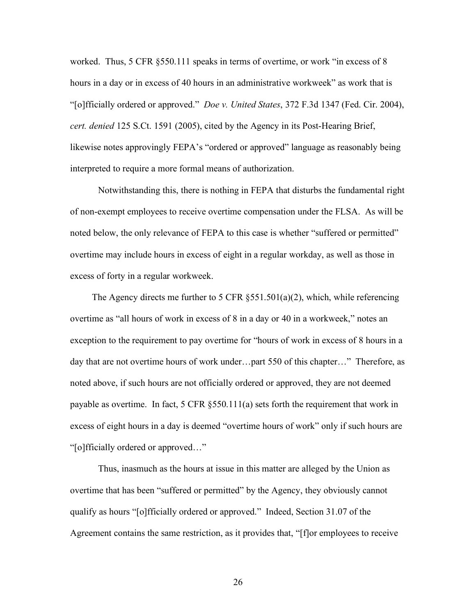worked. Thus, 5 CFR §550.111 speaks in terms of overtime, or work "in excess of 8 hours in a day or in excess of 40 hours in an administrative workweek" as work that is "[o]fficially ordered or approved." *Doe v. United States*, 372 F.3d 1347 (Fed. Cir. 2004), *cert. denied* 125 S.Ct. 1591 (2005), cited by the Agency in its Post-Hearing Brief, likewise notes approvingly FEPA's "ordered or approved" language as reasonably being interpreted to require a more formal means of authorization.

Notwithstanding this, there is nothing in FEPA that disturbs the fundamental right of non-exempt employees to receive overtime compensation under the FLSA. As will be noted below, the only relevance of FEPA to this case is whether "suffered or permitted" overtime may include hours in excess of eight in a regular workday, as well as those in excess of forty in a regular workweek.

The Agency directs me further to 5 CFR §551.501(a)(2), which, while referencing overtime as "all hours of work in excess of 8 in a day or 40 in a workweek," notes an exception to the requirement to pay overtime for "hours of work in excess of 8 hours in a day that are not overtime hours of work under…part 550 of this chapter…" Therefore, as noted above, if such hours are not officially ordered or approved, they are not deemed payable as overtime. In fact, 5 CFR §550.111(a) sets forth the requirement that work in excess of eight hours in a day is deemed "overtime hours of work" only if such hours are "[o]fficially ordered or approved…"

Thus, inasmuch as the hours at issue in this matter are alleged by the Union as overtime that has been "suffered or permitted" by the Agency, they obviously cannot qualify as hours "[o]fficially ordered or approved." Indeed, Section 31.07 of the Agreement contains the same restriction, as it provides that, "[f]or employees to receive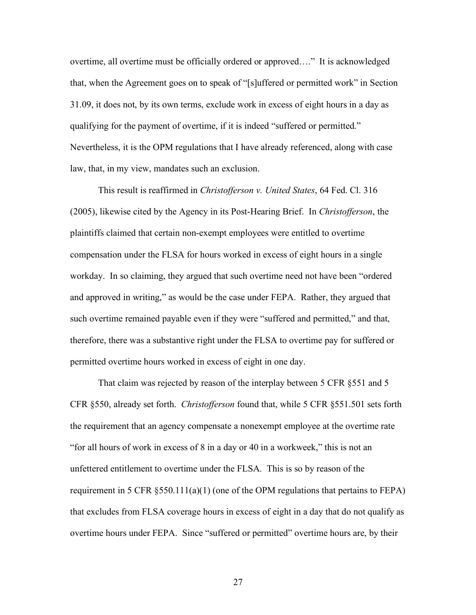overtime, all overtime must be officially ordered or approved…." It is acknowledged that, when the Agreement goes on to speak of "[s]uffered or permitted work" in Section 31.09, it does not, by its own terms, exclude work in excess of eight hours in a day as qualifying for the payment of overtime, if it is indeed "suffered or permitted." Nevertheless, it is the OPM regulations that I have already referenced, along with case law, that, in my view, mandates such an exclusion.

This result is reaffirmed in *Christofferson v. United States*, 64 Fed. Cl. 316 (2005), likewise cited by the Agency in its Post-Hearing Brief. In *Christofferson*, the plaintiffs claimed that certain non-exempt employees were entitled to overtime compensation under the FLSA for hours worked in excess of eight hours in a single workday. In so claiming, they argued that such overtime need not have been "ordered and approved in writing," as would be the case under FEPA. Rather, they argued that such overtime remained payable even if they were "suffered and permitted," and that, therefore, there was a substantive right under the FLSA to overtime pay for suffered or permitted overtime hours worked in excess of eight in one day.

That claim was rejected by reason of the interplay between 5 CFR §551 and 5 CFR §550, already set forth. *Christofferson* found that, while 5 CFR §551.501 sets forth the requirement that an agency compensate a nonexempt employee at the overtime rate "for all hours of work in excess of 8 in a day or 40 in a workweek," this is not an unfettered entitlement to overtime under the FLSA. This is so by reason of the requirement in 5 CFR  $\S 550.111(a)(1)$  (one of the OPM regulations that pertains to FEPA) that excludes from FLSA coverage hours in excess of eight in a day that do not qualify as overtime hours under FEPA. Since "suffered or permitted" overtime hours are, by their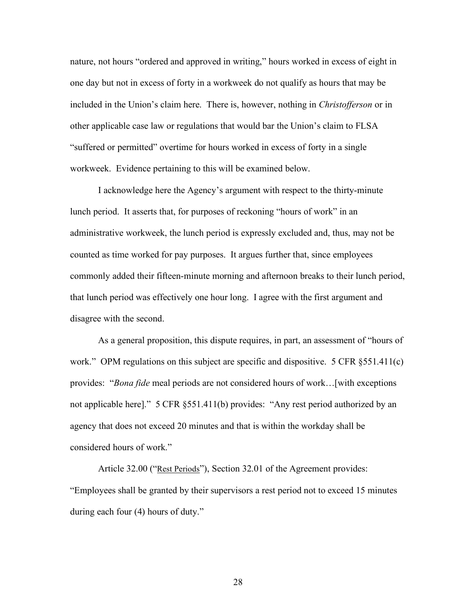nature, not hours "ordered and approved in writing," hours worked in excess of eight in one day but not in excess of forty in a workweek do not qualify as hours that may be included in the Union's claim here. There is, however, nothing in *Christofferson* or in other applicable case law or regulations that would bar the Union's claim to FLSA "suffered or permitted" overtime for hours worked in excess of forty in a single workweek. Evidence pertaining to this will be examined below.

I acknowledge here the Agency's argument with respect to the thirty-minute lunch period. It asserts that, for purposes of reckoning "hours of work" in an administrative workweek, the lunch period is expressly excluded and, thus, may not be counted as time worked for pay purposes. It argues further that, since employees commonly added their fifteen-minute morning and afternoon breaks to their lunch period, that lunch period was effectively one hour long. I agree with the first argument and disagree with the second.

As a general proposition, this dispute requires, in part, an assessment of "hours of work." OPM regulations on this subject are specific and dispositive. 5 CFR §551.411(c) provides: "*Bona fide* meal periods are not considered hours of work…[with exceptions not applicable here]." 5 CFR §551.411(b) provides: "Any rest period authorized by an agency that does not exceed 20 minutes and that is within the workday shall be considered hours of work."

Article 32.00 ("Rest Periods"), Section 32.01 of the Agreement provides: "Employees shall be granted by their supervisors a rest period not to exceed 15 minutes during each four (4) hours of duty."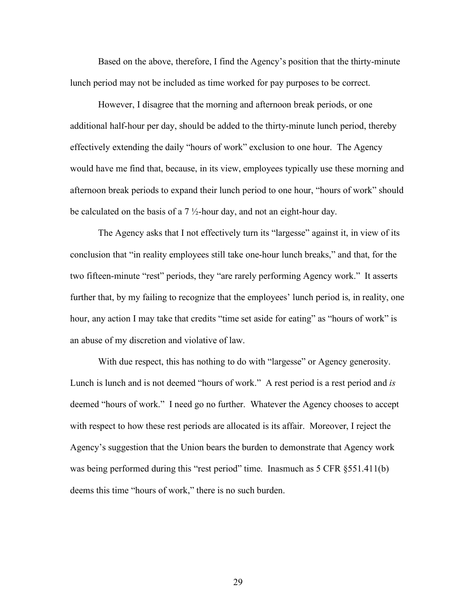Based on the above, therefore, I find the Agency's position that the thirty-minute lunch period may not be included as time worked for pay purposes to be correct.

However, I disagree that the morning and afternoon break periods, or one additional half-hour per day, should be added to the thirty-minute lunch period, thereby effectively extending the daily "hours of work" exclusion to one hour. The Agency would have me find that, because, in its view, employees typically use these morning and afternoon break periods to expand their lunch period to one hour, "hours of work" should be calculated on the basis of a  $7\frac{1}{2}$ -hour day, and not an eight-hour day.

The Agency asks that I not effectively turn its "largesse" against it, in view of its conclusion that "in reality employees still take one-hour lunch breaks," and that, for the two fifteen-minute "rest" periods, they "are rarely performing Agency work." It asserts further that, by my failing to recognize that the employees' lunch period is, in reality, one hour, any action I may take that credits "time set aside for eating" as "hours of work" is an abuse of my discretion and violative of law.

With due respect, this has nothing to do with "largesse" or Agency generosity. Lunch is lunch and is not deemed "hours of work." A rest period is a rest period and *is* deemed "hours of work." I need go no further. Whatever the Agency chooses to accept with respect to how these rest periods are allocated is its affair. Moreover, I reject the Agency's suggestion that the Union bears the burden to demonstrate that Agency work was being performed during this "rest period" time. Inasmuch as 5 CFR §551.411(b) deems this time "hours of work," there is no such burden.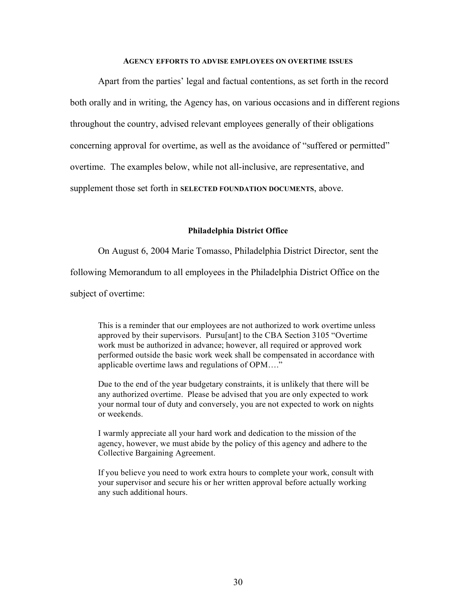#### **AGENCY EFFORTS TO ADVISE EMPLOYEES ON OVERTIME ISSUES**

Apart from the parties' legal and factual contentions, as set forth in the record both orally and in writing, the Agency has, on various occasions and in different regions throughout the country, advised relevant employees generally of their obligations concerning approval for overtime, as well as the avoidance of "suffered or permitted" overtime. The examples below, while not all-inclusive, are representative, and supplement those set forth in **SELECTED FOUNDATION DOCUMENTS**, above.

# **Philadelphia District Office**

On August 6, 2004 Marie Tomasso, Philadelphia District Director, sent the following Memorandum to all employees in the Philadelphia District Office on the subject of overtime:

This is a reminder that our employees are not authorized to work overtime unless approved by their supervisors. Pursu[ant] to the CBA Section 3105 "Overtime work must be authorized in advance; however, all required or approved work performed outside the basic work week shall be compensated in accordance with applicable overtime laws and regulations of OPM…."

Due to the end of the year budgetary constraints, it is unlikely that there will be any authorized overtime. Please be advised that you are only expected to work your normal tour of duty and conversely, you are not expected to work on nights or weekends.

I warmly appreciate all your hard work and dedication to the mission of the agency, however, we must abide by the policy of this agency and adhere to the Collective Bargaining Agreement.

If you believe you need to work extra hours to complete your work, consult with your supervisor and secure his or her written approval before actually working any such additional hours.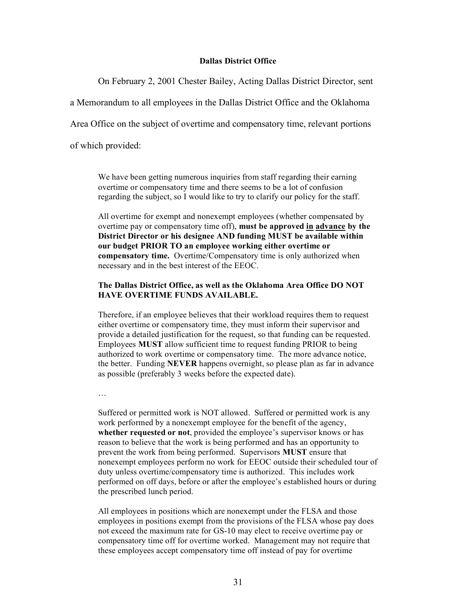#### **Dallas District Office**

On February 2, 2001 Chester Bailey, Acting Dallas District Director, sent

a Memorandum to all employees in the Dallas District Office and the Oklahoma

Area Office on the subject of overtime and compensatory time, relevant portions

of which provided:

We have been getting numerous inquiries from staff regarding their earning overtime or compensatory time and there seems to be a lot of confusion regarding the subject, so I would like to try to clarify our policy for the staff.

All overtime for exempt and nonexempt employees (whether compensated by overtime pay or compensatory time off), **must be approved in advance by the District Director or his designee AND funding MUST be available within our budget PRIOR TO an employee working either overtime or compensatory time.** Overtime/Compensatory time is only authorized when necessary and in the best interest of the EEOC.

### **The Dallas District Office, as well as the Oklahoma Area Office DO NOT HAVE OVERTIME FUNDS AVAILABLE.**

Therefore, if an employee believes that their workload requires them to request either overtime or compensatory time, they must inform their supervisor and provide a detailed justification for the request, so that funding can be requested. Employees **MUST** allow sufficient time to request funding PRIOR to being authorized to work overtime or compensatory time. The more advance notice, the better. Funding **NEVER** happens overnight, so please plan as far in advance as possible (preferably 3 weeks before the expected date).

…

Suffered or permitted work is NOT allowed. Suffered or permitted work is any work performed by a nonexempt employee for the benefit of the agency, **whether requested or not**, provided the employee's supervisor knows or has reason to believe that the work is being performed and has an opportunity to prevent the work from being performed. Supervisors **MUST** ensure that nonexempt employees perform no work for EEOC outside their scheduled tour of duty unless overtime/compensatory time is authorized. This includes work performed on off days, before or after the employee's established hours or during the prescribed lunch period.

All employees in positions which are nonexempt under the FLSA and those employees in positions exempt from the provisions of the FLSA whose pay does not exceed the maximum rate for GS-10 may elect to receive overtime pay or compensatory time off for overtime worked. Management may not require that these employees accept compensatory time off instead of pay for overtime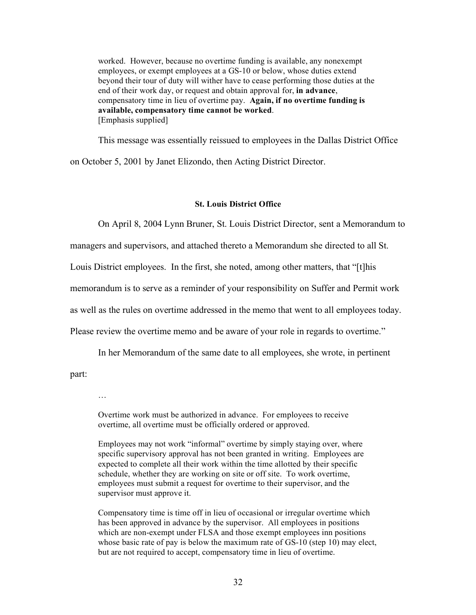worked. However, because no overtime funding is available, any nonexempt employees, or exempt employees at a GS-10 or below, whose duties extend beyond their tour of duty will wither have to cease performing those duties at the end of their work day, or request and obtain approval for, **in advance**, compensatory time in lieu of overtime pay. **Again, if no overtime funding is available, compensatory time cannot be worked**. [Emphasis supplied]

This message was essentially reissued to employees in the Dallas District Office on October 5, 2001 by Janet Elizondo, then Acting District Director.

#### **St. Louis District Office**

On April 8, 2004 Lynn Bruner, St. Louis District Director, sent a Memorandum to

managers and supervisors, and attached thereto a Memorandum she directed to all St.

Louis District employees. In the first, she noted, among other matters, that "[t]his

memorandum is to serve as a reminder of your responsibility on Suffer and Permit work

as well as the rules on overtime addressed in the memo that went to all employees today.

Please review the overtime memo and be aware of your role in regards to overtime."

In her Memorandum of the same date to all employees, she wrote, in pertinent

part:

…

Overtime work must be authorized in advance. For employees to receive overtime, all overtime must be officially ordered or approved.

Employees may not work "informal" overtime by simply staying over, where specific supervisory approval has not been granted in writing. Employees are expected to complete all their work within the time allotted by their specific schedule, whether they are working on site or off site. To work overtime, employees must submit a request for overtime to their supervisor, and the supervisor must approve it.

Compensatory time is time off in lieu of occasional or irregular overtime which has been approved in advance by the supervisor. All employees in positions which are non-exempt under FLSA and those exempt employees inn positions whose basic rate of pay is below the maximum rate of GS-10 (step 10) may elect, but are not required to accept, compensatory time in lieu of overtime.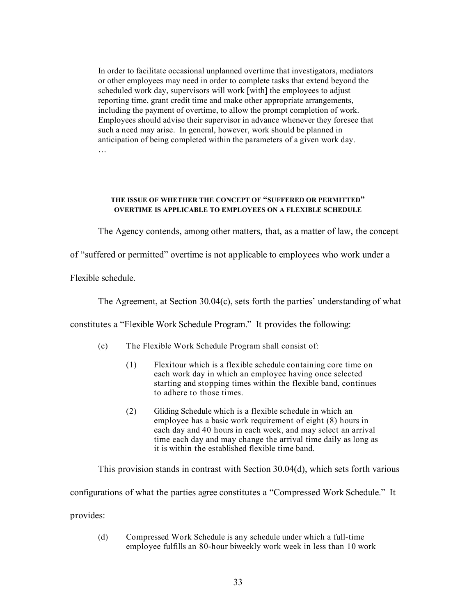In order to facilitate occasional unplanned overtime that investigators, mediators or other employees may need in order to complete tasks that extend beyond the scheduled work day, supervisors will work [with] the employees to adjust reporting time, grant credit time and make other appropriate arrangements, including the payment of overtime, to allow the prompt completion of work. Employees should advise their supervisor in advance whenever they foresee that such a need may arise. In general, however, work should be planned in anticipation of being completed within the parameters of a given work day. …

#### **THE ISSUE OF WHETHER THE CONCEPT OF "SUFFERED OR PERMITTED" OVERTIME IS APPLICABLE TO EMPLOYEES ON A FLEXIBLE SCHEDULE**

The Agency contends, among other matters, that, as a matter of law, the concept

of "suffered or permitted" overtime is not applicable to employees who work under a

Flexible schedule.

The Agreement, at Section 30.04(c), sets forth the parties' understanding of what

constitutes a "Flexible Work Schedule Program." It provides the following:

- (c) The Flexible Work Schedule Program shall consist of:
	- (1) Flexitour which is a flexible schedule containing core time on each work day in which an employee having once selected starting and stopping times within the flexible band, continues to adhere to those times.
	- (2) Gliding Schedule which is a flexible schedule in which an employee has a basic work requirement of eight (8) hours in each day and 40 hours in each week, and may select an arrival time each day and may change the arrival time daily as long as it is within the established flexible time band.

This provision stands in contrast with Section 30.04(d), which sets forth various

configurations of what the parties agree constitutes a "Compressed Work Schedule." It

provides:

(d) Compressed Work Schedule is any schedule under which a full-time employee fulfills an 80-hour biweekly work week in less than 10 work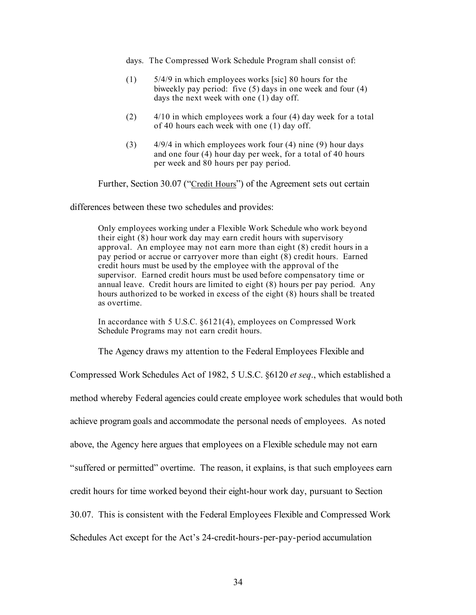- days. The Compressed Work Schedule Program shall consist of:
- (1) 5/4/9 in which employees works [sic] 80 hours for the biweekly pay period: five (5) days in one week and four (4) days the next week with one (1) day off.
- (2) 4/10 in which employees work a four (4) day week for a total of 40 hours each week with one (1) day off.
- (3) 4/9/4 in which employees work four (4) nine (9) hour days and one four (4) hour day per week, for a total of 40 hours per week and 80 hours per pay period.

Further, Section 30.07 ("Credit Hours") of the Agreement sets out certain

differences between these two schedules and provides:

Only employees working under a Flexible Work Schedule who work beyond their eight (8) hour work day may earn credit hours with supervisory approval. An employee may not earn more than eight (8) credit hours in a pay period or accrue or carryover more than eight (8) credit hours. Earned credit hours must be used by the employee with the approval of the supervisor. Earned credit hours must be used before compensatory time or annual leave. Credit hours are limited to eight (8) hours per pay period. Any hours authorized to be worked in excess of the eight (8) hours shall be treated as overtime.

In accordance with 5 U.S.C. §6121(4), employees on Compressed Work Schedule Programs may not earn credit hours.

The Agency draws my attention to the Federal Employees Flexible and

Compressed Work Schedules Act of 1982, 5 U.S.C. §6120 *et seq*., which established a method whereby Federal agencies could create employee work schedules that would both achieve program goals and accommodate the personal needs of employees. As noted above, the Agency here argues that employees on a Flexible schedule may not earn "suffered or permitted" overtime. The reason, it explains, is that such employees earn credit hours for time worked beyond their eight-hour work day, pursuant to Section 30.07. This is consistent with the Federal Employees Flexible and Compressed Work Schedules Act except for the Act's 24-credit-hours-per-pay-period accumulation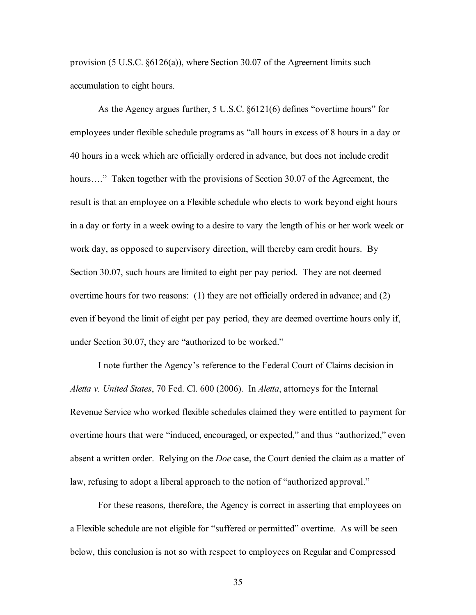provision (5 U.S.C. §6126(a)), where Section 30.07 of the Agreement limits such accumulation to eight hours.

As the Agency argues further, 5 U.S.C. §6121(6) defines "overtime hours" for employees under flexible schedule programs as "all hours in excess of 8 hours in a day or 40 hours in a week which are officially ordered in advance, but does not include credit hours...." Taken together with the provisions of Section 30.07 of the Agreement, the result is that an employee on a Flexible schedule who elects to work beyond eight hours in a day or forty in a week owing to a desire to vary the length of his or her work week or work day, as opposed to supervisory direction, will thereby earn credit hours. By Section 30.07, such hours are limited to eight per pay period. They are not deemed overtime hours for two reasons: (1) they are not officially ordered in advance; and (2) even if beyond the limit of eight per pay period, they are deemed overtime hours only if, under Section 30.07, they are "authorized to be worked."

I note further the Agency's reference to the Federal Court of Claims decision in *Aletta v. United States*, 70 Fed. Cl. 600 (2006). In *Aletta*, attorneys for the Internal Revenue Service who worked flexible schedules claimed they were entitled to payment for overtime hours that were "induced, encouraged, or expected," and thus "authorized," even absent a written order. Relying on the *Doe* case, the Court denied the claim as a matter of law, refusing to adopt a liberal approach to the notion of "authorized approval."

For these reasons, therefore, the Agency is correct in asserting that employees on a Flexible schedule are not eligible for "suffered or permitted" overtime. As will be seen below, this conclusion is not so with respect to employees on Regular and Compressed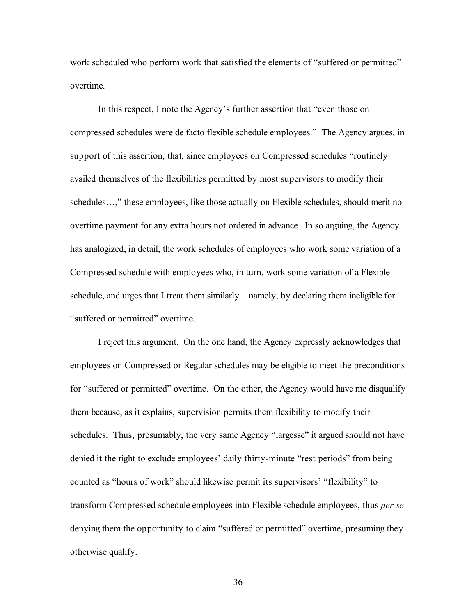work scheduled who perform work that satisfied the elements of "suffered or permitted" overtime.

In this respect, I note the Agency's further assertion that "even those on compressed schedules were de facto flexible schedule employees." The Agency argues, in support of this assertion, that, since employees on Compressed schedules "routinely availed themselves of the flexibilities permitted by most supervisors to modify their schedules…," these employees, like those actually on Flexible schedules, should merit no overtime payment for any extra hours not ordered in advance. In so arguing, the Agency has analogized, in detail, the work schedules of employees who work some variation of a Compressed schedule with employees who, in turn, work some variation of a Flexible schedule, and urges that I treat them similarly – namely, by declaring them ineligible for "suffered or permitted" overtime.

I reject this argument. On the one hand, the Agency expressly acknowledges that employees on Compressed or Regular schedules may be eligible to meet the preconditions for "suffered or permitted" overtime. On the other, the Agency would have me disqualify them because, as it explains, supervision permits them flexibility to modify their schedules. Thus, presumably, the very same Agency "largesse" it argued should not have denied it the right to exclude employees' daily thirty-minute "rest periods" from being counted as "hours of work" should likewise permit its supervisors' "flexibility" to transform Compressed schedule employees into Flexible schedule employees, thus *per se* denying them the opportunity to claim "suffered or permitted" overtime, presuming they otherwise qualify.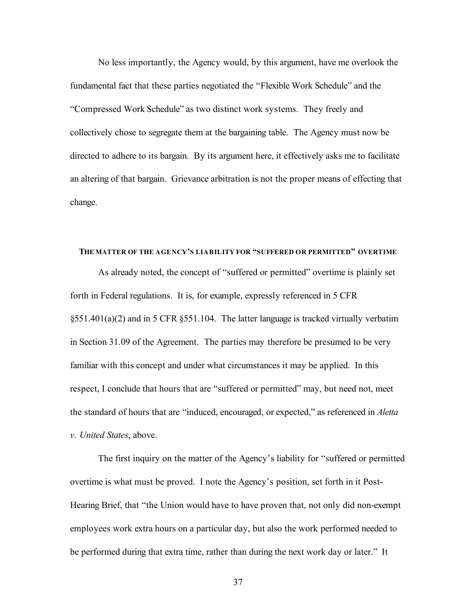No less importantly, the Agency would, by this argument, have me overlook the fundamental fact that these parties negotiated the "Flexible Work Schedule" and the "Compressed Work Schedule" as two distinct work systems. They freely and collectively chose to segregate them at the bargaining table. The Agency must now be directed to adhere to its bargain. By its argument here, it effectively asks me to facilitate an altering of that bargain. Grievance arbitration is not the proper means of effecting that change.

# **THE MATTER OF THE AGENCY'S LIABILITY FOR "SUFFERED OR PERMITTED" OVERTIME**

As already noted, the concept of "suffered or permitted" overtime is plainly set forth in Federal regulations. It is, for example, expressly referenced in 5 CFR §551.401(a)(2) and in 5 CFR §551.104. The latter language is tracked virtually verbatim in Section 31.09 of the Agreement. The parties may therefore be presumed to be very familiar with this concept and under what circumstances it may be applied. In this respect, I conclude that hours that are "suffered or permitted" may, but need not, meet the standard of hours that are "induced, encouraged, or expected," as referenced in *Aletta v. United States*, above.

The first inquiry on the matter of the Agency's liability for "suffered or permitted overtime is what must be proved. I note the Agency's position, set forth in it Post-Hearing Brief, that "the Union would have to have proven that, not only did non-exempt employees work extra hours on a particular day, but also the work performed needed to be performed during that extra time, rather than during the next work day or later." It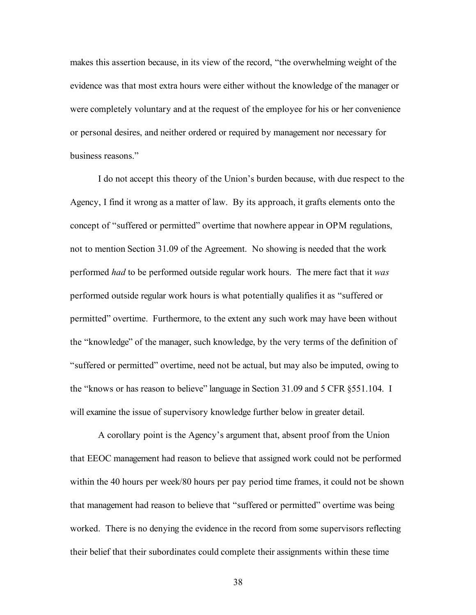makes this assertion because, in its view of the record, "the overwhelming weight of the evidence was that most extra hours were either without the knowledge of the manager or were completely voluntary and at the request of the employee for his or her convenience or personal desires, and neither ordered or required by management nor necessary for business reasons."

I do not accept this theory of the Union's burden because, with due respect to the Agency, I find it wrong as a matter of law. By its approach, it grafts elements onto the concept of "suffered or permitted" overtime that nowhere appear in OPM regulations, not to mention Section 31.09 of the Agreement. No showing is needed that the work performed *had* to be performed outside regular work hours. The mere fact that it *was* performed outside regular work hours is what potentially qualifies it as "suffered or permitted" overtime. Furthermore, to the extent any such work may have been without the "knowledge" of the manager, such knowledge, by the very terms of the definition of "suffered or permitted" overtime, need not be actual, but may also be imputed, owing to the "knows or has reason to believe" language in Section 31.09 and 5 CFR §551.104. I will examine the issue of supervisory knowledge further below in greater detail.

A corollary point is the Agency's argument that, absent proof from the Union that EEOC management had reason to believe that assigned work could not be performed within the 40 hours per week/80 hours per pay period time frames, it could not be shown that management had reason to believe that "suffered or permitted" overtime was being worked. There is no denying the evidence in the record from some supervisors reflecting their belief that their subordinates could complete their assignments within these time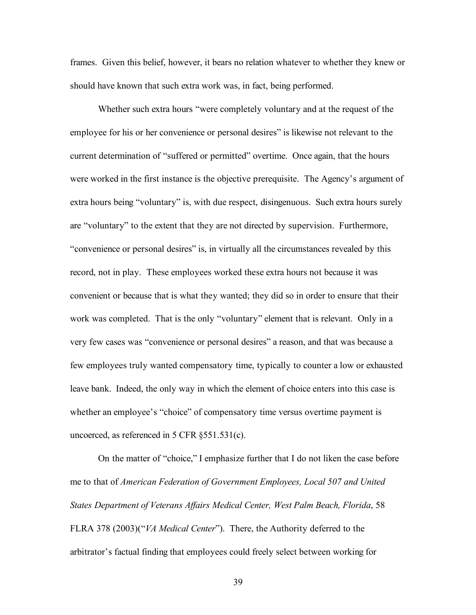frames. Given this belief, however, it bears no relation whatever to whether they knew or should have known that such extra work was, in fact, being performed.

Whether such extra hours "were completely voluntary and at the request of the employee for his or her convenience or personal desires" is likewise not relevant to the current determination of "suffered or permitted" overtime. Once again, that the hours were worked in the first instance is the objective prerequisite. The Agency's argument of extra hours being "voluntary" is, with due respect, disingenuous. Such extra hours surely are "voluntary" to the extent that they are not directed by supervision. Furthermore, "convenience or personal desires" is, in virtually all the circumstances revealed by this record, not in play. These employees worked these extra hours not because it was convenient or because that is what they wanted; they did so in order to ensure that their work was completed. That is the only "voluntary" element that is relevant. Only in a very few cases was "convenience or personal desires" a reason, and that was because a few employees truly wanted compensatory time, typically to counter a low or exhausted leave bank. Indeed, the only way in which the element of choice enters into this case is whether an employee's "choice" of compensatory time versus overtime payment is uncoerced, as referenced in 5 CFR §551.531(c).

On the matter of "choice," I emphasize further that I do not liken the case before me to that of *American Federation of Government Employees, Local 507 and United States Department of Veterans Affairs Medical Center, West Palm Beach, Florida*, 58 FLRA 378 (2003)("*VA Medical Center*"). There, the Authority deferred to the arbitrator's factual finding that employees could freely select between working for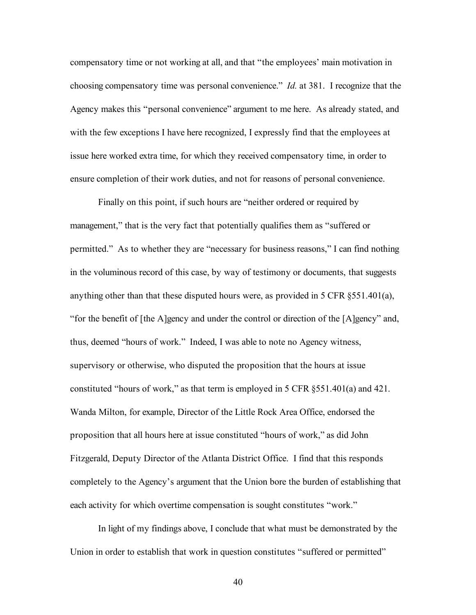compensatory time or not working at all, and that "the employees' main motivation in choosing compensatory time was personal convenience." *Id.* at 381. I recognize that the Agency makes this "personal convenience" argument to me here. As already stated, and with the few exceptions I have here recognized, I expressly find that the employees at issue here worked extra time, for which they received compensatory time, in order to ensure completion of their work duties, and not for reasons of personal convenience.

Finally on this point, if such hours are "neither ordered or required by management," that is the very fact that potentially qualifies them as "suffered or permitted." As to whether they are "necessary for business reasons," I can find nothing in the voluminous record of this case, by way of testimony or documents, that suggests anything other than that these disputed hours were, as provided in 5 CFR  $\S$ 551.401(a), "for the benefit of [the A]gency and under the control or direction of the [A]gency" and, thus, deemed "hours of work." Indeed, I was able to note no Agency witness, supervisory or otherwise, who disputed the proposition that the hours at issue constituted "hours of work," as that term is employed in 5 CFR §551.401(a) and 421. Wanda Milton, for example, Director of the Little Rock Area Office, endorsed the proposition that all hours here at issue constituted "hours of work," as did John Fitzgerald, Deputy Director of the Atlanta District Office. I find that this responds completely to the Agency's argument that the Union bore the burden of establishing that each activity for which overtime compensation is sought constitutes "work."

In light of my findings above, I conclude that what must be demonstrated by the Union in order to establish that work in question constitutes "suffered or permitted"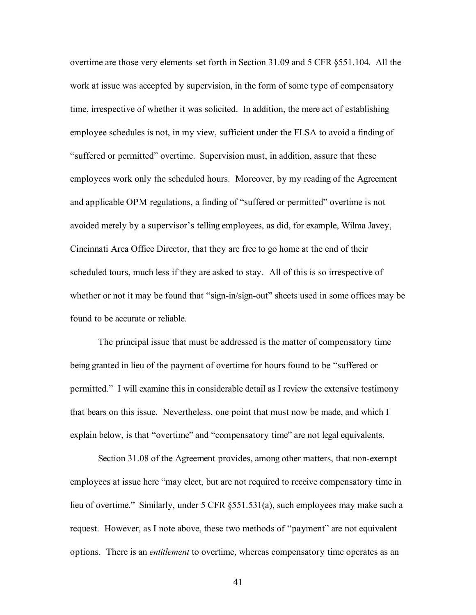overtime are those very elements set forth in Section 31.09 and 5 CFR §551.104. All the work at issue was accepted by supervision, in the form of some type of compensatory time, irrespective of whether it was solicited. In addition, the mere act of establishing employee schedules is not, in my view, sufficient under the FLSA to avoid a finding of "suffered or permitted" overtime. Supervision must, in addition, assure that these employees work only the scheduled hours. Moreover, by my reading of the Agreement and applicable OPM regulations, a finding of "suffered or permitted" overtime is not avoided merely by a supervisor's telling employees, as did, for example, Wilma Javey, Cincinnati Area Office Director, that they are free to go home at the end of their scheduled tours, much less if they are asked to stay. All of this is so irrespective of whether or not it may be found that "sign-in/sign-out" sheets used in some offices may be found to be accurate or reliable.

The principal issue that must be addressed is the matter of compensatory time being granted in lieu of the payment of overtime for hours found to be "suffered or permitted." I will examine this in considerable detail as I review the extensive testimony that bears on this issue. Nevertheless, one point that must now be made, and which I explain below, is that "overtime" and "compensatory time" are not legal equivalents.

Section 31.08 of the Agreement provides, among other matters, that non-exempt employees at issue here "may elect, but are not required to receive compensatory time in lieu of overtime." Similarly, under 5 CFR §551.531(a), such employees may make such a request. However, as I note above, these two methods of "payment" are not equivalent options. There is an *entitlement* to overtime, whereas compensatory time operates as an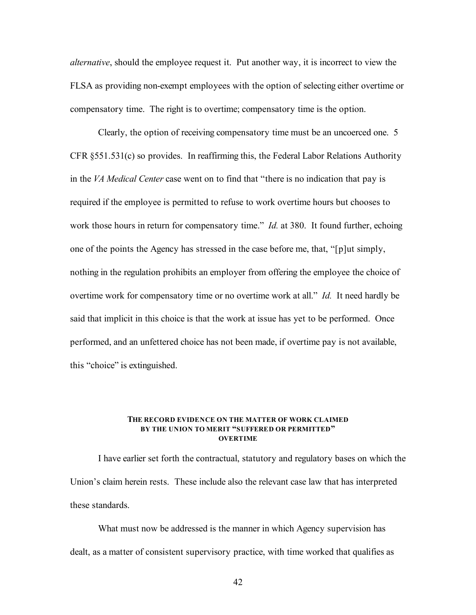*alternative*, should the employee request it. Put another way, it is incorrect to view the FLSA as providing non-exempt employees with the option of selecting either overtime or compensatory time. The right is to overtime; compensatory time is the option.

Clearly, the option of receiving compensatory time must be an uncoerced one. 5 CFR §551.531(c) so provides. In reaffirming this, the Federal Labor Relations Authority in the *VA Medical Center* case went on to find that "there is no indication that pay is required if the employee is permitted to refuse to work overtime hours but chooses to work those hours in return for compensatory time." *Id.* at 380. It found further, echoing one of the points the Agency has stressed in the case before me, that, "[p]ut simply, nothing in the regulation prohibits an employer from offering the employee the choice of overtime work for compensatory time or no overtime work at all." *Id.* It need hardly be said that implicit in this choice is that the work at issue has yet to be performed. Once performed, and an unfettered choice has not been made, if overtime pay is not available, this "choice" is extinguished.

## **THE RECORD EVIDENCE ON THE MATTER OF WORK CLAIMED BY THE UNION TO MERIT "SUFFERED OR PERMITTED" OVERTIME**

I have earlier set forth the contractual, statutory and regulatory bases on which the Union's claim herein rests. These include also the relevant case law that has interpreted these standards.

What must now be addressed is the manner in which Agency supervision has dealt, as a matter of consistent supervisory practice, with time worked that qualifies as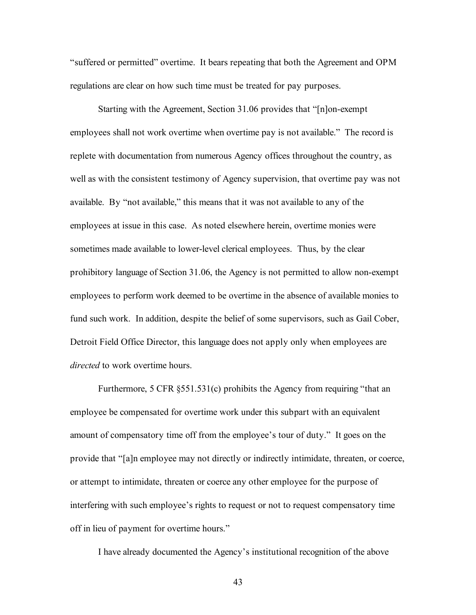"suffered or permitted" overtime. It bears repeating that both the Agreement and OPM regulations are clear on how such time must be treated for pay purposes.

Starting with the Agreement, Section 31.06 provides that "[n]on-exempt employees shall not work overtime when overtime pay is not available." The record is replete with documentation from numerous Agency offices throughout the country, as well as with the consistent testimony of Agency supervision, that overtime pay was not available. By "not available," this means that it was not available to any of the employees at issue in this case. As noted elsewhere herein, overtime monies were sometimes made available to lower-level clerical employees. Thus, by the clear prohibitory language of Section 31.06, the Agency is not permitted to allow non-exempt employees to perform work deemed to be overtime in the absence of available monies to fund such work. In addition, despite the belief of some supervisors, such as Gail Cober, Detroit Field Office Director, this language does not apply only when employees are *directed* to work overtime hours.

Furthermore, 5 CFR  $\S 551.531(c)$  prohibits the Agency from requiring "that an employee be compensated for overtime work under this subpart with an equivalent amount of compensatory time off from the employee's tour of duty." It goes on the provide that "[a]n employee may not directly or indirectly intimidate, threaten, or coerce, or attempt to intimidate, threaten or coerce any other employee for the purpose of interfering with such employee's rights to request or not to request compensatory time off in lieu of payment for overtime hours."

I have already documented the Agency's institutional recognition of the above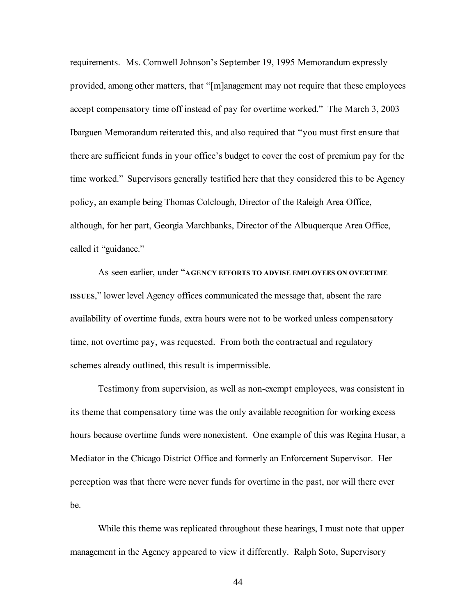requirements. Ms. Cornwell Johnson's September 19, 1995 Memorandum expressly provided, among other matters, that "[m]anagement may not require that these employees accept compensatory time off instead of pay for overtime worked." The March 3, 2003 Ibarguen Memorandum reiterated this, and also required that "you must first ensure that there are sufficient funds in your office's budget to cover the cost of premium pay for the time worked." Supervisors generally testified here that they considered this to be Agency policy, an example being Thomas Colclough, Director of the Raleigh Area Office, although, for her part, Georgia Marchbanks, Director of the Albuquerque Area Office, called it "guidance."

As seen earlier, under "**AGENCY EFFORTS TO ADVISE EMPLOYEES ON OVERTIME ISSUES**," lower level Agency offices communicated the message that, absent the rare availability of overtime funds, extra hours were not to be worked unless compensatory time, not overtime pay, was requested. From both the contractual and regulatory schemes already outlined, this result is impermissible.

Testimony from supervision, as well as non-exempt employees, was consistent in its theme that compensatory time was the only available recognition for working excess hours because overtime funds were nonexistent. One example of this was Regina Husar, a Mediator in the Chicago District Office and formerly an Enforcement Supervisor. Her perception was that there were never funds for overtime in the past, nor will there ever be.

While this theme was replicated throughout these hearings, I must note that upper management in the Agency appeared to view it differently. Ralph Soto, Supervisory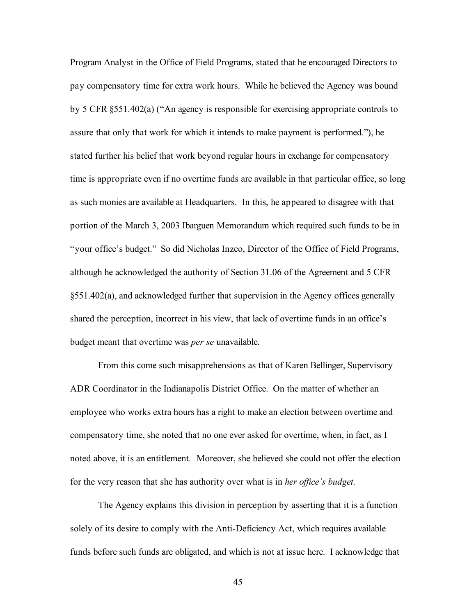Program Analyst in the Office of Field Programs, stated that he encouraged Directors to pay compensatory time for extra work hours. While he believed the Agency was bound by 5 CFR §551.402(a) ("An agency is responsible for exercising appropriate controls to assure that only that work for which it intends to make payment is performed."), he stated further his belief that work beyond regular hours in exchange for compensatory time is appropriate even if no overtime funds are available in that particular office, so long as such monies are available at Headquarters. In this, he appeared to disagree with that portion of the March 3, 2003 Ibarguen Memorandum which required such funds to be in "your office's budget." So did Nicholas Inzeo, Director of the Office of Field Programs, although he acknowledged the authority of Section 31.06 of the Agreement and 5 CFR §551.402(a), and acknowledged further that supervision in the Agency offices generally shared the perception, incorrect in his view, that lack of overtime funds in an office's budget meant that overtime was *per se* unavailable.

From this come such misapprehensions as that of Karen Bellinger, Supervisory ADR Coordinator in the Indianapolis District Office. On the matter of whether an employee who works extra hours has a right to make an election between overtime and compensatory time, she noted that no one ever asked for overtime, when, in fact, as I noted above, it is an entitlement. Moreover, she believed she could not offer the election for the very reason that she has authority over what is in *her office's budget*.

The Agency explains this division in perception by asserting that it is a function solely of its desire to comply with the Anti-Deficiency Act, which requires available funds before such funds are obligated, and which is not at issue here. I acknowledge that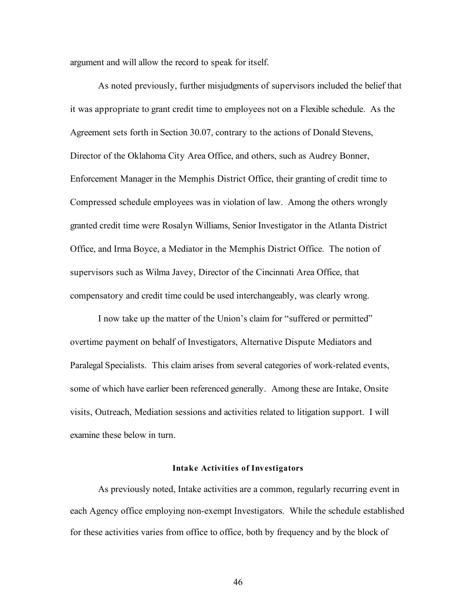argument and will allow the record to speak for itself.

As noted previously, further misjudgments of supervisors included the belief that it was appropriate to grant credit time to employees not on a Flexible schedule. As the Agreement sets forth in Section 30.07, contrary to the actions of Donald Stevens, Director of the Oklahoma City Area Office, and others, such as Audrey Bonner, Enforcement Manager in the Memphis District Office, their granting of credit time to Compressed schedule employees was in violation of law. Among the others wrongly granted credit time were Rosalyn Williams, Senior Investigator in the Atlanta District Office, and Irma Boyce, a Mediator in the Memphis District Office. The notion of supervisors such as Wilma Javey, Director of the Cincinnati Area Office, that compensatory and credit time could be used interchangeably, was clearly wrong.

I now take up the matter of the Union's claim for "suffered or permitted" overtime payment on behalf of Investigators, Alternative Dispute Mediators and Paralegal Specialists. This claim arises from several categories of work-related events, some of which have earlier been referenced generally. Among these are Intake, Onsite visits, Outreach, Mediation sessions and activities related to litigation support. I will examine these below in turn.

### **Intake Activities of Investigators**

As previously noted, Intake activities are a common, regularly recurring event in each Agency office employing non-exempt Investigators. While the schedule established for these activities varies from office to office, both by frequency and by the block of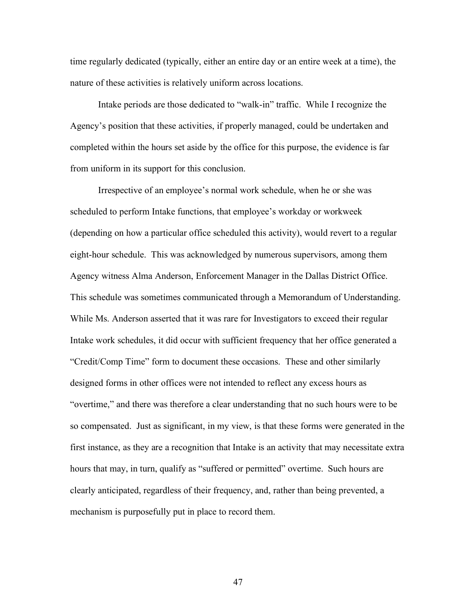time regularly dedicated (typically, either an entire day or an entire week at a time), the nature of these activities is relatively uniform across locations.

Intake periods are those dedicated to "walk-in" traffic. While I recognize the Agency's position that these activities, if properly managed, could be undertaken and completed within the hours set aside by the office for this purpose, the evidence is far from uniform in its support for this conclusion.

Irrespective of an employee's normal work schedule, when he or she was scheduled to perform Intake functions, that employee's workday or workweek (depending on how a particular office scheduled this activity), would revert to a regular eight-hour schedule. This was acknowledged by numerous supervisors, among them Agency witness Alma Anderson, Enforcement Manager in the Dallas District Office. This schedule was sometimes communicated through a Memorandum of Understanding. While Ms. Anderson asserted that it was rare for Investigators to exceed their regular Intake work schedules, it did occur with sufficient frequency that her office generated a "Credit/Comp Time" form to document these occasions. These and other similarly designed forms in other offices were not intended to reflect any excess hours as "overtime," and there was therefore a clear understanding that no such hours were to be so compensated. Just as significant, in my view, is that these forms were generated in the first instance, as they are a recognition that Intake is an activity that may necessitate extra hours that may, in turn, qualify as "suffered or permitted" overtime. Such hours are clearly anticipated, regardless of their frequency, and, rather than being prevented, a mechanism is purposefully put in place to record them.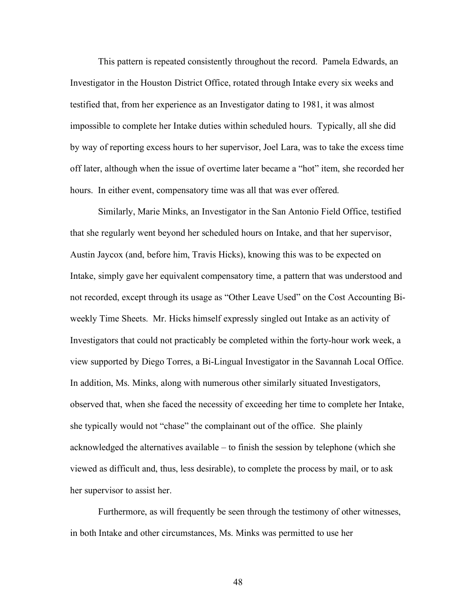This pattern is repeated consistently throughout the record. Pamela Edwards, an Investigator in the Houston District Office, rotated through Intake every six weeks and testified that, from her experience as an Investigator dating to 1981, it was almost impossible to complete her Intake duties within scheduled hours. Typically, all she did by way of reporting excess hours to her supervisor, Joel Lara, was to take the excess time off later, although when the issue of overtime later became a "hot" item, she recorded her hours. In either event, compensatory time was all that was ever offered.

Similarly, Marie Minks, an Investigator in the San Antonio Field Office, testified that she regularly went beyond her scheduled hours on Intake, and that her supervisor, Austin Jaycox (and, before him, Travis Hicks), knowing this was to be expected on Intake, simply gave her equivalent compensatory time, a pattern that was understood and not recorded, except through its usage as "Other Leave Used" on the Cost Accounting Biweekly Time Sheets. Mr. Hicks himself expressly singled out Intake as an activity of Investigators that could not practicably be completed within the forty-hour work week, a view supported by Diego Torres, a Bi-Lingual Investigator in the Savannah Local Office. In addition, Ms. Minks, along with numerous other similarly situated Investigators, observed that, when she faced the necessity of exceeding her time to complete her Intake, she typically would not "chase" the complainant out of the office. She plainly acknowledged the alternatives available – to finish the session by telephone (which she viewed as difficult and, thus, less desirable), to complete the process by mail, or to ask her supervisor to assist her.

Furthermore, as will frequently be seen through the testimony of other witnesses, in both Intake and other circumstances, Ms. Minks was permitted to use her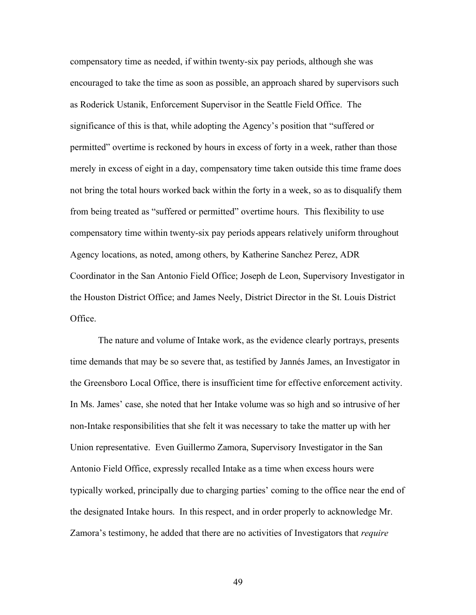compensatory time as needed, if within twenty-six pay periods, although she was encouraged to take the time as soon as possible, an approach shared by supervisors such as Roderick Ustanik, Enforcement Supervisor in the Seattle Field Office. The significance of this is that, while adopting the Agency's position that "suffered or permitted" overtime is reckoned by hours in excess of forty in a week, rather than those merely in excess of eight in a day, compensatory time taken outside this time frame does not bring the total hours worked back within the forty in a week, so as to disqualify them from being treated as "suffered or permitted" overtime hours. This flexibility to use compensatory time within twenty-six pay periods appears relatively uniform throughout Agency locations, as noted, among others, by Katherine Sanchez Perez, ADR Coordinator in the San Antonio Field Office; Joseph de Leon, Supervisory Investigator in the Houston District Office; and James Neely, District Director in the St. Louis District Office.

The nature and volume of Intake work, as the evidence clearly portrays, presents time demands that may be so severe that, as testified by Jannés James, an Investigator in the Greensboro Local Office, there is insufficient time for effective enforcement activity. In Ms. James' case, she noted that her Intake volume was so high and so intrusive of her non-Intake responsibilities that she felt it was necessary to take the matter up with her Union representative. Even Guillermo Zamora, Supervisory Investigator in the San Antonio Field Office, expressly recalled Intake as a time when excess hours were typically worked, principally due to charging parties' coming to the office near the end of the designated Intake hours. In this respect, and in order properly to acknowledge Mr. Zamora's testimony, he added that there are no activities of Investigators that *require*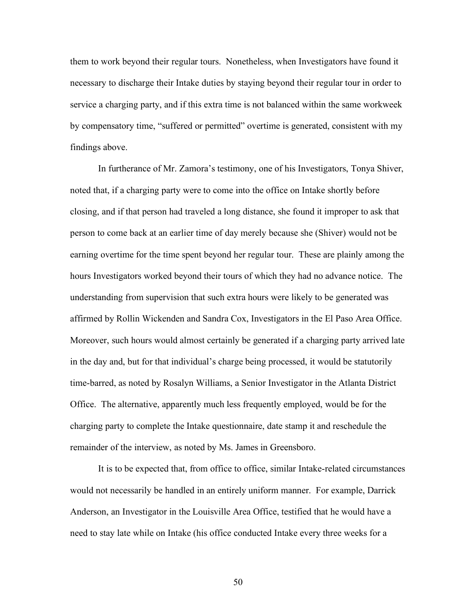them to work beyond their regular tours. Nonetheless, when Investigators have found it necessary to discharge their Intake duties by staying beyond their regular tour in order to service a charging party, and if this extra time is not balanced within the same workweek by compensatory time, "suffered or permitted" overtime is generated, consistent with my findings above.

In furtherance of Mr. Zamora's testimony, one of his Investigators, Tonya Shiver, noted that, if a charging party were to come into the office on Intake shortly before closing, and if that person had traveled a long distance, she found it improper to ask that person to come back at an earlier time of day merely because she (Shiver) would not be earning overtime for the time spent beyond her regular tour. These are plainly among the hours Investigators worked beyond their tours of which they had no advance notice. The understanding from supervision that such extra hours were likely to be generated was affirmed by Rollin Wickenden and Sandra Cox, Investigators in the El Paso Area Office. Moreover, such hours would almost certainly be generated if a charging party arrived late in the day and, but for that individual's charge being processed, it would be statutorily time-barred, as noted by Rosalyn Williams, a Senior Investigator in the Atlanta District Office. The alternative, apparently much less frequently employed, would be for the charging party to complete the Intake questionnaire, date stamp it and reschedule the remainder of the interview, as noted by Ms. James in Greensboro.

It is to be expected that, from office to office, similar Intake-related circumstances would not necessarily be handled in an entirely uniform manner. For example, Darrick Anderson, an Investigator in the Louisville Area Office, testified that he would have a need to stay late while on Intake (his office conducted Intake every three weeks for a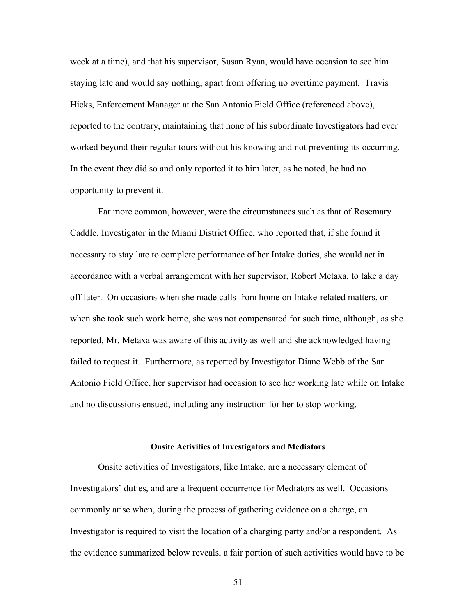week at a time), and that his supervisor, Susan Ryan, would have occasion to see him staying late and would say nothing, apart from offering no overtime payment. Travis Hicks, Enforcement Manager at the San Antonio Field Office (referenced above), reported to the contrary, maintaining that none of his subordinate Investigators had ever worked beyond their regular tours without his knowing and not preventing its occurring. In the event they did so and only reported it to him later, as he noted, he had no opportunity to prevent it.

Far more common, however, were the circumstances such as that of Rosemary Caddle, Investigator in the Miami District Office, who reported that, if she found it necessary to stay late to complete performance of her Intake duties, she would act in accordance with a verbal arrangement with her supervisor, Robert Metaxa, to take a day off later. On occasions when she made calls from home on Intake-related matters, or when she took such work home, she was not compensated for such time, although, as she reported, Mr. Metaxa was aware of this activity as well and she acknowledged having failed to request it. Furthermore, as reported by Investigator Diane Webb of the San Antonio Field Office, her supervisor had occasion to see her working late while on Intake and no discussions ensued, including any instruction for her to stop working.

### **Onsite Activities of Investigators and Mediators**

Onsite activities of Investigators, like Intake, are a necessary element of Investigators' duties, and are a frequent occurrence for Mediators as well. Occasions commonly arise when, during the process of gathering evidence on a charge, an Investigator is required to visit the location of a charging party and/or a respondent. As the evidence summarized below reveals, a fair portion of such activities would have to be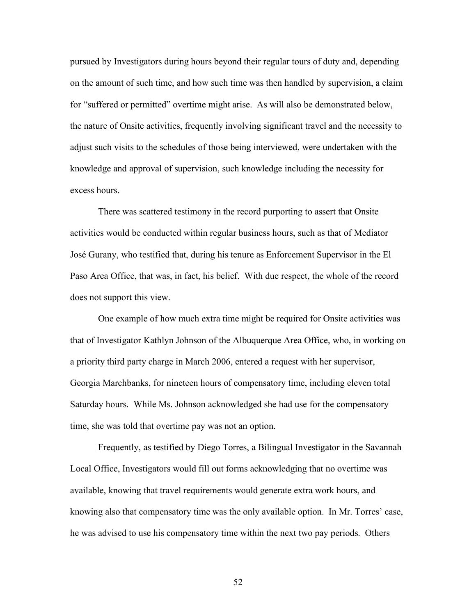pursued by Investigators during hours beyond their regular tours of duty and, depending on the amount of such time, and how such time was then handled by supervision, a claim for "suffered or permitted" overtime might arise. As will also be demonstrated below, the nature of Onsite activities, frequently involving significant travel and the necessity to adjust such visits to the schedules of those being interviewed, were undertaken with the knowledge and approval of supervision, such knowledge including the necessity for excess hours.

There was scattered testimony in the record purporting to assert that Onsite activities would be conducted within regular business hours, such as that of Mediator José Gurany, who testified that, during his tenure as Enforcement Supervisor in the El Paso Area Office, that was, in fact, his belief. With due respect, the whole of the record does not support this view.

One example of how much extra time might be required for Onsite activities was that of Investigator Kathlyn Johnson of the Albuquerque Area Office, who, in working on a priority third party charge in March 2006, entered a request with her supervisor, Georgia Marchbanks, for nineteen hours of compensatory time, including eleven total Saturday hours. While Ms. Johnson acknowledged she had use for the compensatory time, she was told that overtime pay was not an option.

Frequently, as testified by Diego Torres, a Bilingual Investigator in the Savannah Local Office, Investigators would fill out forms acknowledging that no overtime was available, knowing that travel requirements would generate extra work hours, and knowing also that compensatory time was the only available option. In Mr. Torres' case, he was advised to use his compensatory time within the next two pay periods. Others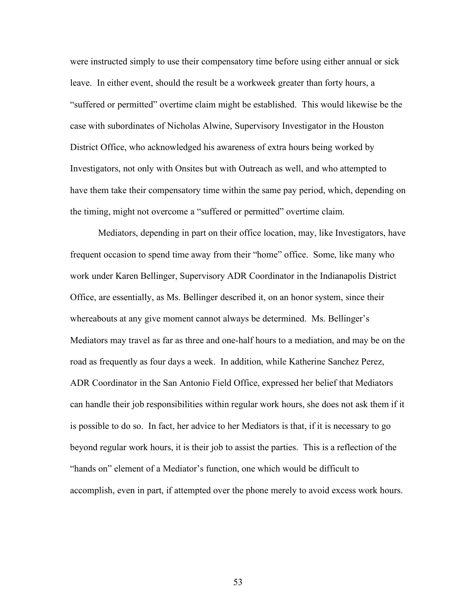were instructed simply to use their compensatory time before using either annual or sick leave. In either event, should the result be a workweek greater than forty hours, a "suffered or permitted" overtime claim might be established. This would likewise be the case with subordinates of Nicholas Alwine, Supervisory Investigator in the Houston District Office, who acknowledged his awareness of extra hours being worked by Investigators, not only with Onsites but with Outreach as well, and who attempted to have them take their compensatory time within the same pay period, which, depending on the timing, might not overcome a "suffered or permitted" overtime claim.

Mediators, depending in part on their office location, may, like Investigators, have frequent occasion to spend time away from their "home" office. Some, like many who work under Karen Bellinger, Supervisory ADR Coordinator in the Indianapolis District Office, are essentially, as Ms. Bellinger described it, on an honor system, since their whereabouts at any give moment cannot always be determined. Ms. Bellinger's Mediators may travel as far as three and one-half hours to a mediation, and may be on the road as frequently as four days a week. In addition, while Katherine Sanchez Perez, ADR Coordinator in the San Antonio Field Office, expressed her belief that Mediators can handle their job responsibilities within regular work hours, she does not ask them if it is possible to do so. In fact, her advice to her Mediators is that, if it is necessary to go beyond regular work hours, it is their job to assist the parties. This is a reflection of the "hands on" element of a Mediator's function, one which would be difficult to accomplish, even in part, if attempted over the phone merely to avoid excess work hours.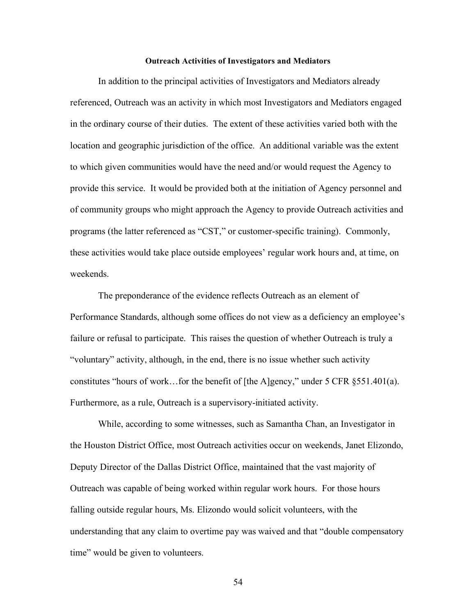#### **Outreach Activities of Investigators and Mediators**

In addition to the principal activities of Investigators and Mediators already referenced, Outreach was an activity in which most Investigators and Mediators engaged in the ordinary course of their duties. The extent of these activities varied both with the location and geographic jurisdiction of the office. An additional variable was the extent to which given communities would have the need and/or would request the Agency to provide this service. It would be provided both at the initiation of Agency personnel and of community groups who might approach the Agency to provide Outreach activities and programs (the latter referenced as "CST," or customer-specific training). Commonly, these activities would take place outside employees' regular work hours and, at time, on weekends.

The preponderance of the evidence reflects Outreach as an element of Performance Standards, although some offices do not view as a deficiency an employee's failure or refusal to participate. This raises the question of whether Outreach is truly a "voluntary" activity, although, in the end, there is no issue whether such activity constitutes "hours of work... for the benefit of [the A]gency," under 5 CFR  $\S 551.401(a)$ . Furthermore, as a rule, Outreach is a supervisory-initiated activity.

While, according to some witnesses, such as Samantha Chan, an Investigator in the Houston District Office, most Outreach activities occur on weekends, Janet Elizondo, Deputy Director of the Dallas District Office, maintained that the vast majority of Outreach was capable of being worked within regular work hours. For those hours falling outside regular hours, Ms. Elizondo would solicit volunteers, with the understanding that any claim to overtime pay was waived and that "double compensatory time" would be given to volunteers.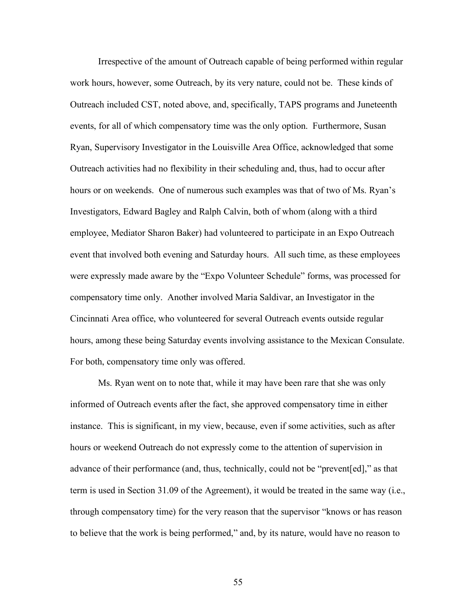Irrespective of the amount of Outreach capable of being performed within regular work hours, however, some Outreach, by its very nature, could not be. These kinds of Outreach included CST, noted above, and, specifically, TAPS programs and Juneteenth events, for all of which compensatory time was the only option. Furthermore, Susan Ryan, Supervisory Investigator in the Louisville Area Office, acknowledged that some Outreach activities had no flexibility in their scheduling and, thus, had to occur after hours or on weekends. One of numerous such examples was that of two of Ms. Ryan's Investigators, Edward Bagley and Ralph Calvin, both of whom (along with a third employee, Mediator Sharon Baker) had volunteered to participate in an Expo Outreach event that involved both evening and Saturday hours. All such time, as these employees were expressly made aware by the "Expo Volunteer Schedule" forms, was processed for compensatory time only. Another involved Maria Saldivar, an Investigator in the Cincinnati Area office, who volunteered for several Outreach events outside regular hours, among these being Saturday events involving assistance to the Mexican Consulate. For both, compensatory time only was offered.

Ms. Ryan went on to note that, while it may have been rare that she was only informed of Outreach events after the fact, she approved compensatory time in either instance. This is significant, in my view, because, even if some activities, such as after hours or weekend Outreach do not expressly come to the attention of supervision in advance of their performance (and, thus, technically, could not be "prevent[ed]," as that term is used in Section 31.09 of the Agreement), it would be treated in the same way (i.e., through compensatory time) for the very reason that the supervisor "knows or has reason to believe that the work is being performed," and, by its nature, would have no reason to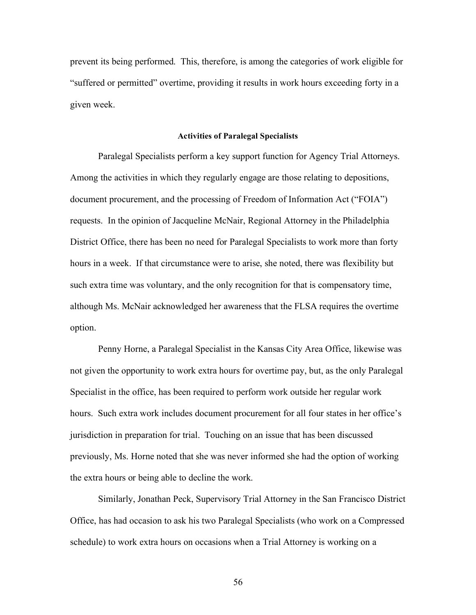prevent its being performed. This, therefore, is among the categories of work eligible for "suffered or permitted" overtime, providing it results in work hours exceeding forty in a given week.

#### **Activities of Paralegal Specialists**

Paralegal Specialists perform a key support function for Agency Trial Attorneys. Among the activities in which they regularly engage are those relating to depositions, document procurement, and the processing of Freedom of Information Act ("FOIA") requests. In the opinion of Jacqueline McNair, Regional Attorney in the Philadelphia District Office, there has been no need for Paralegal Specialists to work more than forty hours in a week. If that circumstance were to arise, she noted, there was flexibility but such extra time was voluntary, and the only recognition for that is compensatory time, although Ms. McNair acknowledged her awareness that the FLSA requires the overtime option.

Penny Horne, a Paralegal Specialist in the Kansas City Area Office, likewise was not given the opportunity to work extra hours for overtime pay, but, as the only Paralegal Specialist in the office, has been required to perform work outside her regular work hours. Such extra work includes document procurement for all four states in her office's jurisdiction in preparation for trial. Touching on an issue that has been discussed previously, Ms. Horne noted that she was never informed she had the option of working the extra hours or being able to decline the work.

Similarly, Jonathan Peck, Supervisory Trial Attorney in the San Francisco District Office, has had occasion to ask his two Paralegal Specialists (who work on a Compressed schedule) to work extra hours on occasions when a Trial Attorney is working on a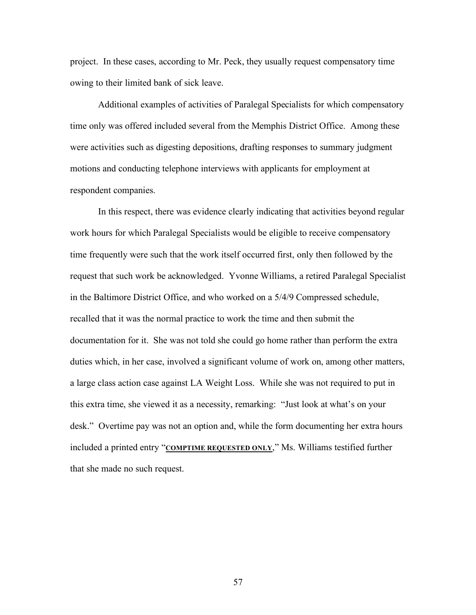project. In these cases, according to Mr. Peck, they usually request compensatory time owing to their limited bank of sick leave.

Additional examples of activities of Paralegal Specialists for which compensatory time only was offered included several from the Memphis District Office. Among these were activities such as digesting depositions, drafting responses to summary judgment motions and conducting telephone interviews with applicants for employment at respondent companies.

In this respect, there was evidence clearly indicating that activities beyond regular work hours for which Paralegal Specialists would be eligible to receive compensatory time frequently were such that the work itself occurred first, only then followed by the request that such work be acknowledged. Yvonne Williams, a retired Paralegal Specialist in the Baltimore District Office, and who worked on a 5/4/9 Compressed schedule, recalled that it was the normal practice to work the time and then submit the documentation for it. She was not told she could go home rather than perform the extra duties which, in her case, involved a significant volume of work on, among other matters, a large class action case against LA Weight Loss. While she was not required to put in this extra time, she viewed it as a necessity, remarking: "Just look at what's on your desk." Overtime pay was not an option and, while the form documenting her extra hours included a printed entry "**COMPTIME REQUESTED ONLY**," Ms. Williams testified further that she made no such request.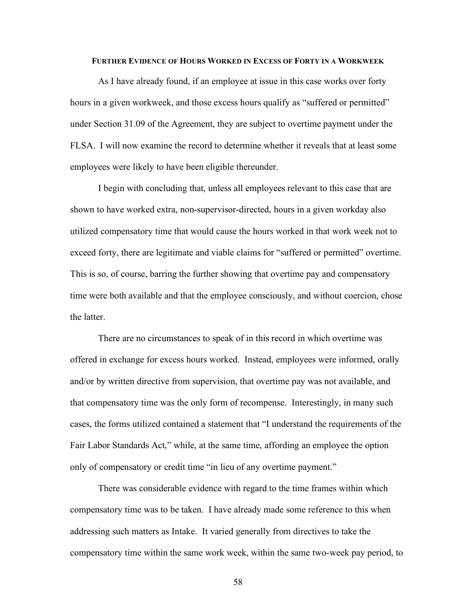### **FURTHER EVIDENCE OF HOURS WORKED IN EXCESS OF FORTY IN A WORKWEEK**

As I have already found, if an employee at issue in this case works over forty hours in a given workweek, and those excess hours qualify as "suffered or permitted" under Section 31.09 of the Agreement, they are subject to overtime payment under the FLSA. I will now examine the record to determine whether it reveals that at least some employees were likely to have been eligible thereunder.

I begin with concluding that, unless all employees relevant to this case that are shown to have worked extra, non-supervisor-directed, hours in a given workday also utilized compensatory time that would cause the hours worked in that work week not to exceed forty, there are legitimate and viable claims for "suffered or permitted" overtime. This is so, of course, barring the further showing that overtime pay and compensatory time were both available and that the employee consciously, and without coercion, chose the latter.

There are no circumstances to speak of in this record in which overtime was offered in exchange for excess hours worked. Instead, employees were informed, orally and/or by written directive from supervision, that overtime pay was not available, and that compensatory time was the only form of recompense. Interestingly, in many such cases, the forms utilized contained a statement that "I understand the requirements of the Fair Labor Standards Act," while, at the same time, affording an employee the option only of compensatory or credit time "in lieu of any overtime payment."

There was considerable evidence with regard to the time frames within which compensatory time was to be taken. I have already made some reference to this when addressing such matters as Intake. It varied generally from directives to take the compensatory time within the same work week, within the same two-week pay period, to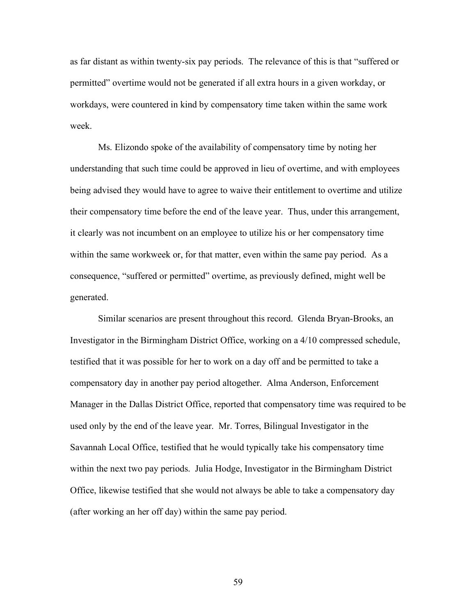as far distant as within twenty-six pay periods. The relevance of this is that "suffered or permitted" overtime would not be generated if all extra hours in a given workday, or workdays, were countered in kind by compensatory time taken within the same work week.

Ms. Elizondo spoke of the availability of compensatory time by noting her understanding that such time could be approved in lieu of overtime, and with employees being advised they would have to agree to waive their entitlement to overtime and utilize their compensatory time before the end of the leave year. Thus, under this arrangement, it clearly was not incumbent on an employee to utilize his or her compensatory time within the same workweek or, for that matter, even within the same pay period. As a consequence, "suffered or permitted" overtime, as previously defined, might well be generated.

Similar scenarios are present throughout this record. Glenda Bryan-Brooks, an Investigator in the Birmingham District Office, working on a 4/10 compressed schedule, testified that it was possible for her to work on a day off and be permitted to take a compensatory day in another pay period altogether. Alma Anderson, Enforcement Manager in the Dallas District Office, reported that compensatory time was required to be used only by the end of the leave year. Mr. Torres, Bilingual Investigator in the Savannah Local Office, testified that he would typically take his compensatory time within the next two pay periods. Julia Hodge, Investigator in the Birmingham District Office, likewise testified that she would not always be able to take a compensatory day (after working an her off day) within the same pay period.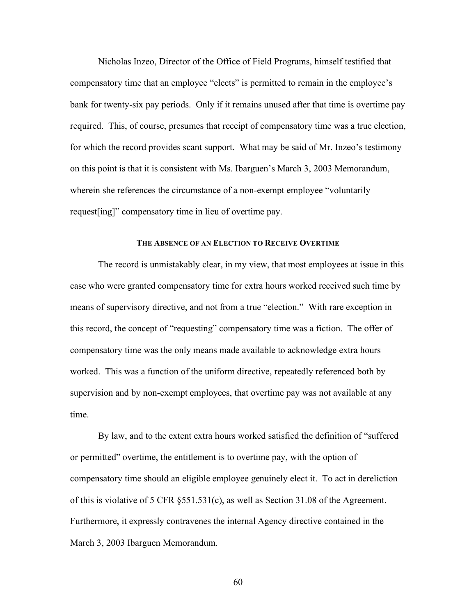Nicholas Inzeo, Director of the Office of Field Programs, himself testified that compensatory time that an employee "elects" is permitted to remain in the employee's bank for twenty-six pay periods. Only if it remains unused after that time is overtime pay required. This, of course, presumes that receipt of compensatory time was a true election, for which the record provides scant support. What may be said of Mr. Inzeo's testimony on this point is that it is consistent with Ms. Ibarguen's March 3, 2003 Memorandum, wherein she references the circumstance of a non-exempt employee "voluntarily request[ing]" compensatory time in lieu of overtime pay.

# **THE ABSENCE OF AN ELECTION TO RECEIVE OVERTIME**

The record is unmistakably clear, in my view, that most employees at issue in this case who were granted compensatory time for extra hours worked received such time by means of supervisory directive, and not from a true "election." With rare exception in this record, the concept of "requesting" compensatory time was a fiction. The offer of compensatory time was the only means made available to acknowledge extra hours worked. This was a function of the uniform directive, repeatedly referenced both by supervision and by non-exempt employees, that overtime pay was not available at any time.

By law, and to the extent extra hours worked satisfied the definition of "suffered or permitted" overtime, the entitlement is to overtime pay, with the option of compensatory time should an eligible employee genuinely elect it. To act in dereliction of this is violative of 5 CFR §551.531(c), as well as Section 31.08 of the Agreement. Furthermore, it expressly contravenes the internal Agency directive contained in the March 3, 2003 Ibarguen Memorandum.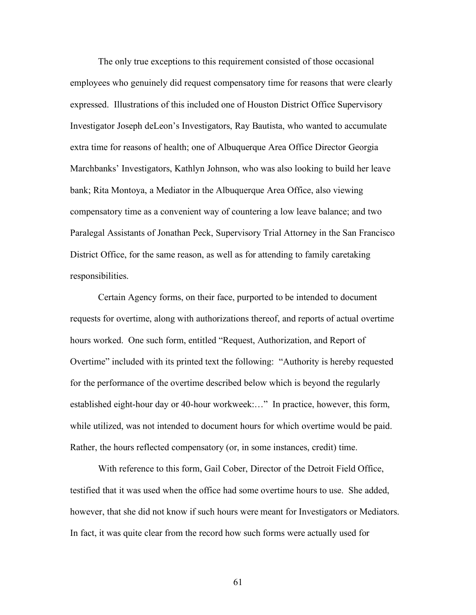The only true exceptions to this requirement consisted of those occasional employees who genuinely did request compensatory time for reasons that were clearly expressed. Illustrations of this included one of Houston District Office Supervisory Investigator Joseph deLeon's Investigators, Ray Bautista, who wanted to accumulate extra time for reasons of health; one of Albuquerque Area Office Director Georgia Marchbanks' Investigators, Kathlyn Johnson, who was also looking to build her leave bank; Rita Montoya, a Mediator in the Albuquerque Area Office, also viewing compensatory time as a convenient way of countering a low leave balance; and two Paralegal Assistants of Jonathan Peck, Supervisory Trial Attorney in the San Francisco District Office, for the same reason, as well as for attending to family caretaking responsibilities.

Certain Agency forms, on their face, purported to be intended to document requests for overtime, along with authorizations thereof, and reports of actual overtime hours worked. One such form, entitled "Request, Authorization, and Report of Overtime" included with its printed text the following: "Authority is hereby requested for the performance of the overtime described below which is beyond the regularly established eight-hour day or 40-hour workweek:…" In practice, however, this form, while utilized, was not intended to document hours for which overtime would be paid. Rather, the hours reflected compensatory (or, in some instances, credit) time.

With reference to this form, Gail Cober, Director of the Detroit Field Office, testified that it was used when the office had some overtime hours to use. She added, however, that she did not know if such hours were meant for Investigators or Mediators. In fact, it was quite clear from the record how such forms were actually used for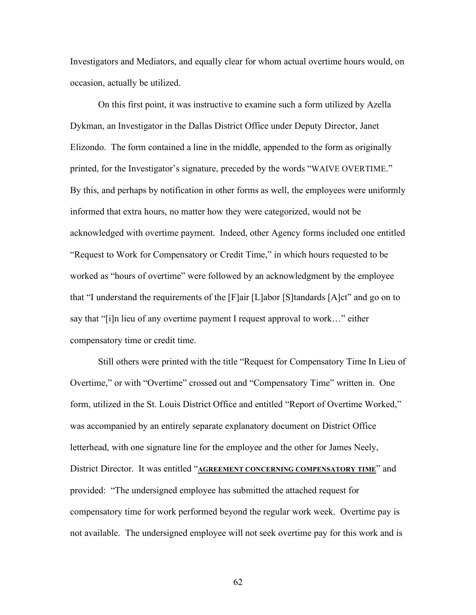Investigators and Mediators, and equally clear for whom actual overtime hours would, on occasion, actually be utilized.

On this first point, it was instructive to examine such a form utilized by Azella Dykman, an Investigator in the Dallas District Office under Deputy Director, Janet Elizondo. The form contained a line in the middle, appended to the form as originally printed, for the Investigator's signature, preceded by the words "WAIVE OVERTIME." By this, and perhaps by notification in other forms as well, the employees were uniformly informed that extra hours, no matter how they were categorized, would not be acknowledged with overtime payment. Indeed, other Agency forms included one entitled "Request to Work for Compensatory or Credit Time," in which hours requested to be worked as "hours of overtime" were followed by an acknowledgment by the employee that "I understand the requirements of the [F]air [L]abor [S]tandards [A]ct" and go on to say that "[i]n lieu of any overtime payment I request approval to work…" either compensatory time or credit time.

Still others were printed with the title "Request for Compensatory Time In Lieu of Overtime," or with "Overtime" crossed out and "Compensatory Time" written in. One form, utilized in the St. Louis District Office and entitled "Report of Overtime Worked," was accompanied by an entirely separate explanatory document on District Office letterhead, with one signature line for the employee and the other for James Neely, District Director. It was entitled "**AGREEMENT CONCERNING COMPENSATORY TIME**" and provided: "The undersigned employee has submitted the attached request for compensatory time for work performed beyond the regular work week. Overtime pay is not available. The undersigned employee will not seek overtime pay for this work and is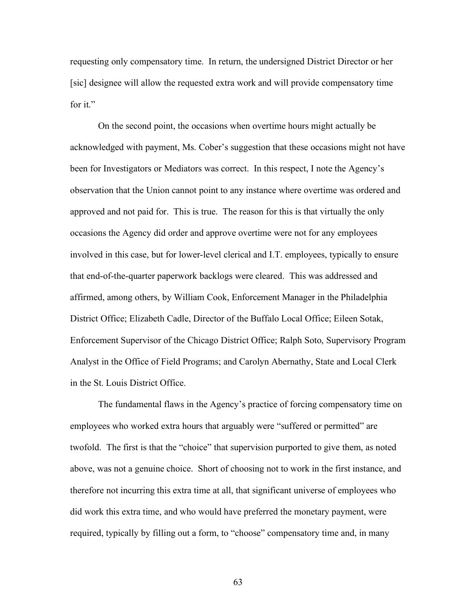requesting only compensatory time. In return, the undersigned District Director or her [sic] designee will allow the requested extra work and will provide compensatory time for it."

On the second point, the occasions when overtime hours might actually be acknowledged with payment, Ms. Cober's suggestion that these occasions might not have been for Investigators or Mediators was correct. In this respect, I note the Agency's observation that the Union cannot point to any instance where overtime was ordered and approved and not paid for. This is true. The reason for this is that virtually the only occasions the Agency did order and approve overtime were not for any employees involved in this case, but for lower-level clerical and I.T. employees, typically to ensure that end-of-the-quarter paperwork backlogs were cleared. This was addressed and affirmed, among others, by William Cook, Enforcement Manager in the Philadelphia District Office; Elizabeth Cadle, Director of the Buffalo Local Office; Eileen Sotak, Enforcement Supervisor of the Chicago District Office; Ralph Soto, Supervisory Program Analyst in the Office of Field Programs; and Carolyn Abernathy, State and Local Clerk in the St. Louis District Office.

The fundamental flaws in the Agency's practice of forcing compensatory time on employees who worked extra hours that arguably were "suffered or permitted" are twofold. The first is that the "choice" that supervision purported to give them, as noted above, was not a genuine choice. Short of choosing not to work in the first instance, and therefore not incurring this extra time at all, that significant universe of employees who did work this extra time, and who would have preferred the monetary payment, were required, typically by filling out a form, to "choose" compensatory time and, in many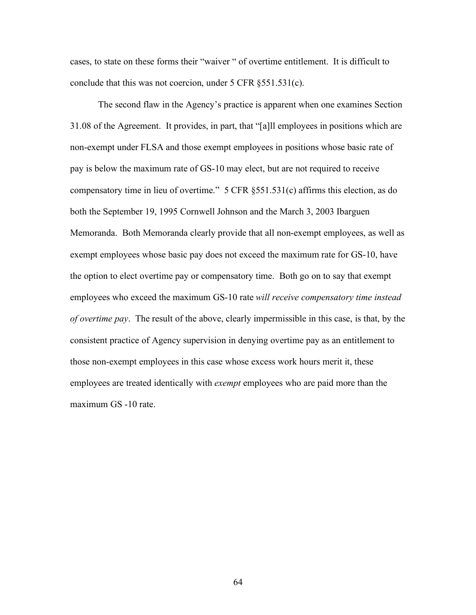cases, to state on these forms their "waiver " of overtime entitlement. It is difficult to conclude that this was not coercion, under 5 CFR §551.531(c).

The second flaw in the Agency's practice is apparent when one examines Section 31.08 of the Agreement. It provides, in part, that "[a]ll employees in positions which are non-exempt under FLSA and those exempt employees in positions whose basic rate of pay is below the maximum rate of GS-10 may elect, but are not required to receive compensatory time in lieu of overtime." 5 CFR §551.531(c) affirms this election, as do both the September 19, 1995 Cornwell Johnson and the March 3, 2003 Ibarguen Memoranda. Both Memoranda clearly provide that all non-exempt employees, as well as exempt employees whose basic pay does not exceed the maximum rate for GS-10, have the option to elect overtime pay or compensatory time. Both go on to say that exempt employees who exceed the maximum GS-10 rate *will receive compensatory time instead of overtime pay*. The result of the above, clearly impermissible in this case, is that, by the consistent practice of Agency supervision in denying overtime pay as an entitlement to those non-exempt employees in this case whose excess work hours merit it, these employees are treated identically with *exempt* employees who are paid more than the maximum GS -10 rate.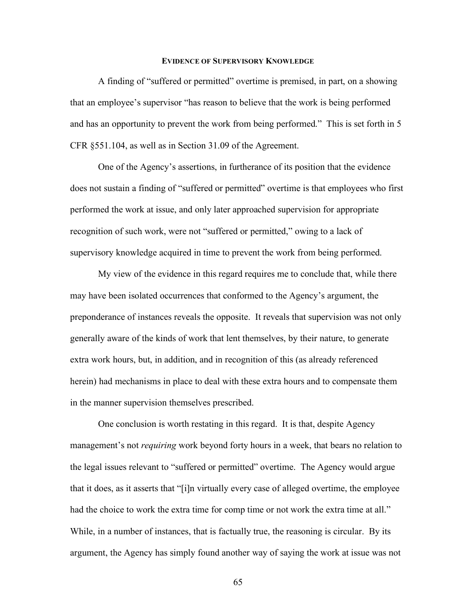## **EVIDENCE OF SUPERVISORY KNOWLEDGE**

A finding of "suffered or permitted" overtime is premised, in part, on a showing that an employee's supervisor "has reason to believe that the work is being performed and has an opportunity to prevent the work from being performed." This is set forth in 5 CFR §551.104, as well as in Section 31.09 of the Agreement.

One of the Agency's assertions, in furtherance of its position that the evidence does not sustain a finding of "suffered or permitted" overtime is that employees who first performed the work at issue, and only later approached supervision for appropriate recognition of such work, were not "suffered or permitted," owing to a lack of supervisory knowledge acquired in time to prevent the work from being performed.

My view of the evidence in this regard requires me to conclude that, while there may have been isolated occurrences that conformed to the Agency's argument, the preponderance of instances reveals the opposite. It reveals that supervision was not only generally aware of the kinds of work that lent themselves, by their nature, to generate extra work hours, but, in addition, and in recognition of this (as already referenced herein) had mechanisms in place to deal with these extra hours and to compensate them in the manner supervision themselves prescribed.

One conclusion is worth restating in this regard. It is that, despite Agency management's not *requiring* work beyond forty hours in a week, that bears no relation to the legal issues relevant to "suffered or permitted" overtime. The Agency would argue that it does, as it asserts that "[i]n virtually every case of alleged overtime, the employee had the choice to work the extra time for comp time or not work the extra time at all." While, in a number of instances, that is factually true, the reasoning is circular. By its argument, the Agency has simply found another way of saying the work at issue was not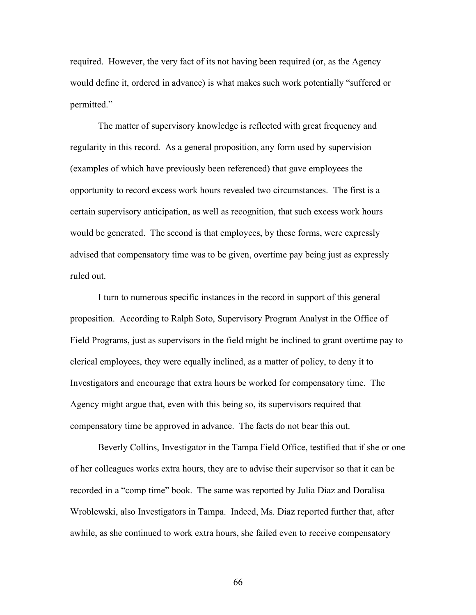required. However, the very fact of its not having been required (or, as the Agency would define it, ordered in advance) is what makes such work potentially "suffered or permitted."

The matter of supervisory knowledge is reflected with great frequency and regularity in this record. As a general proposition, any form used by supervision (examples of which have previously been referenced) that gave employees the opportunity to record excess work hours revealed two circumstances. The first is a certain supervisory anticipation, as well as recognition, that such excess work hours would be generated. The second is that employees, by these forms, were expressly advised that compensatory time was to be given, overtime pay being just as expressly ruled out.

I turn to numerous specific instances in the record in support of this general proposition. According to Ralph Soto, Supervisory Program Analyst in the Office of Field Programs, just as supervisors in the field might be inclined to grant overtime pay to clerical employees, they were equally inclined, as a matter of policy, to deny it to Investigators and encourage that extra hours be worked for compensatory time. The Agency might argue that, even with this being so, its supervisors required that compensatory time be approved in advance. The facts do not bear this out.

Beverly Collins, Investigator in the Tampa Field Office, testified that if she or one of her colleagues works extra hours, they are to advise their supervisor so that it can be recorded in a "comp time" book. The same was reported by Julia Diaz and Doralisa Wroblewski, also Investigators in Tampa. Indeed, Ms. Diaz reported further that, after awhile, as she continued to work extra hours, she failed even to receive compensatory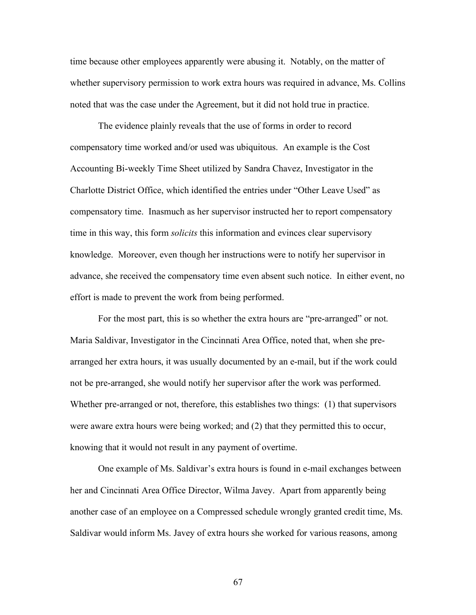time because other employees apparently were abusing it. Notably, on the matter of whether supervisory permission to work extra hours was required in advance, Ms. Collins noted that was the case under the Agreement, but it did not hold true in practice.

The evidence plainly reveals that the use of forms in order to record compensatory time worked and/or used was ubiquitous. An example is the Cost Accounting Bi-weekly Time Sheet utilized by Sandra Chavez, Investigator in the Charlotte District Office, which identified the entries under "Other Leave Used" as compensatory time. Inasmuch as her supervisor instructed her to report compensatory time in this way, this form *solicits* this information and evinces clear supervisory knowledge. Moreover, even though her instructions were to notify her supervisor in advance, she received the compensatory time even absent such notice. In either event, no effort is made to prevent the work from being performed.

For the most part, this is so whether the extra hours are "pre-arranged" or not. Maria Saldivar, Investigator in the Cincinnati Area Office, noted that, when she prearranged her extra hours, it was usually documented by an e-mail, but if the work could not be pre-arranged, she would notify her supervisor after the work was performed. Whether pre-arranged or not, therefore, this establishes two things: (1) that supervisors were aware extra hours were being worked; and (2) that they permitted this to occur, knowing that it would not result in any payment of overtime.

One example of Ms. Saldivar's extra hours is found in e-mail exchanges between her and Cincinnati Area Office Director, Wilma Javey. Apart from apparently being another case of an employee on a Compressed schedule wrongly granted credit time, Ms. Saldivar would inform Ms. Javey of extra hours she worked for various reasons, among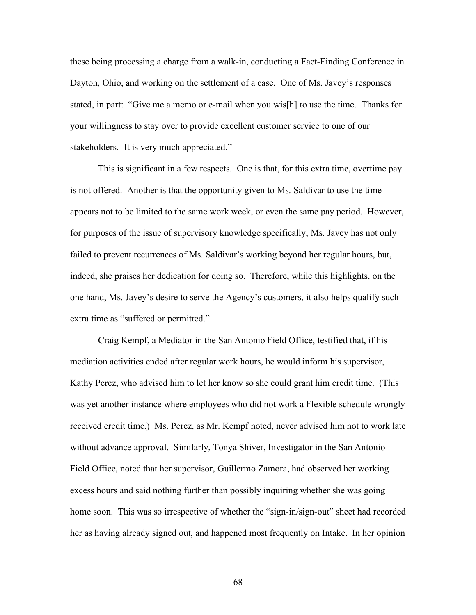these being processing a charge from a walk-in, conducting a Fact-Finding Conference in Dayton, Ohio, and working on the settlement of a case. One of Ms. Javey's responses stated, in part: "Give me a memo or e-mail when you wis[h] to use the time. Thanks for your willingness to stay over to provide excellent customer service to one of our stakeholders. It is very much appreciated."

This is significant in a few respects. One is that, for this extra time, overtime pay is not offered. Another is that the opportunity given to Ms. Saldivar to use the time appears not to be limited to the same work week, or even the same pay period. However, for purposes of the issue of supervisory knowledge specifically, Ms. Javey has not only failed to prevent recurrences of Ms. Saldivar's working beyond her regular hours, but, indeed, she praises her dedication for doing so. Therefore, while this highlights, on the one hand, Ms. Javey's desire to serve the Agency's customers, it also helps qualify such extra time as "suffered or permitted."

Craig Kempf, a Mediator in the San Antonio Field Office, testified that, if his mediation activities ended after regular work hours, he would inform his supervisor, Kathy Perez, who advised him to let her know so she could grant him credit time. (This was yet another instance where employees who did not work a Flexible schedule wrongly received credit time.) Ms. Perez, as Mr. Kempf noted, never advised him not to work late without advance approval. Similarly, Tonya Shiver, Investigator in the San Antonio Field Office, noted that her supervisor, Guillermo Zamora, had observed her working excess hours and said nothing further than possibly inquiring whether she was going home soon. This was so irrespective of whether the "sign-in/sign-out" sheet had recorded her as having already signed out, and happened most frequently on Intake. In her opinion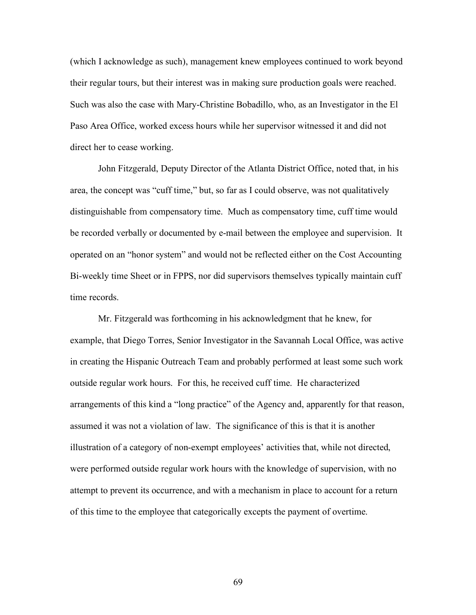(which I acknowledge as such), management knew employees continued to work beyond their regular tours, but their interest was in making sure production goals were reached. Such was also the case with Mary-Christine Bobadillo, who, as an Investigator in the El Paso Area Office, worked excess hours while her supervisor witnessed it and did not direct her to cease working.

John Fitzgerald, Deputy Director of the Atlanta District Office, noted that, in his area, the concept was "cuff time," but, so far as I could observe, was not qualitatively distinguishable from compensatory time. Much as compensatory time, cuff time would be recorded verbally or documented by e-mail between the employee and supervision. It operated on an "honor system" and would not be reflected either on the Cost Accounting Bi-weekly time Sheet or in FPPS, nor did supervisors themselves typically maintain cuff time records.

Mr. Fitzgerald was forthcoming in his acknowledgment that he knew, for example, that Diego Torres, Senior Investigator in the Savannah Local Office, was active in creating the Hispanic Outreach Team and probably performed at least some such work outside regular work hours. For this, he received cuff time. He characterized arrangements of this kind a "long practice" of the Agency and, apparently for that reason, assumed it was not a violation of law. The significance of this is that it is another illustration of a category of non-exempt employees' activities that, while not directed, were performed outside regular work hours with the knowledge of supervision, with no attempt to prevent its occurrence, and with a mechanism in place to account for a return of this time to the employee that categorically excepts the payment of overtime.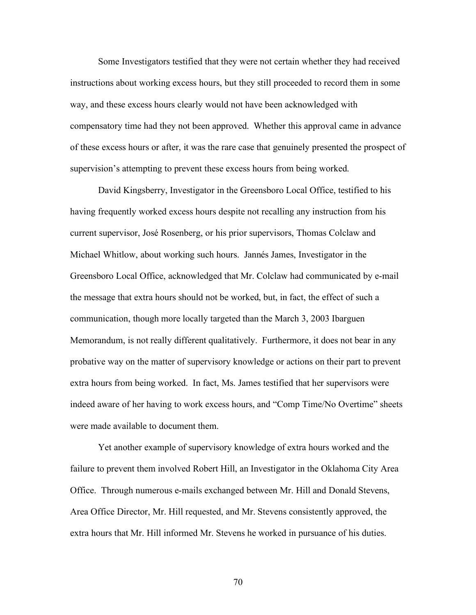Some Investigators testified that they were not certain whether they had received instructions about working excess hours, but they still proceeded to record them in some way, and these excess hours clearly would not have been acknowledged with compensatory time had they not been approved. Whether this approval came in advance of these excess hours or after, it was the rare case that genuinely presented the prospect of supervision's attempting to prevent these excess hours from being worked.

David Kingsberry, Investigator in the Greensboro Local Office, testified to his having frequently worked excess hours despite not recalling any instruction from his current supervisor, José Rosenberg, or his prior supervisors, Thomas Colclaw and Michael Whitlow, about working such hours. Jannés James, Investigator in the Greensboro Local Office, acknowledged that Mr. Colclaw had communicated by e-mail the message that extra hours should not be worked, but, in fact, the effect of such a communication, though more locally targeted than the March 3, 2003 Ibarguen Memorandum, is not really different qualitatively. Furthermore, it does not bear in any probative way on the matter of supervisory knowledge or actions on their part to prevent extra hours from being worked. In fact, Ms. James testified that her supervisors were indeed aware of her having to work excess hours, and "Comp Time/No Overtime" sheets were made available to document them.

Yet another example of supervisory knowledge of extra hours worked and the failure to prevent them involved Robert Hill, an Investigator in the Oklahoma City Area Office. Through numerous e-mails exchanged between Mr. Hill and Donald Stevens, Area Office Director, Mr. Hill requested, and Mr. Stevens consistently approved, the extra hours that Mr. Hill informed Mr. Stevens he worked in pursuance of his duties.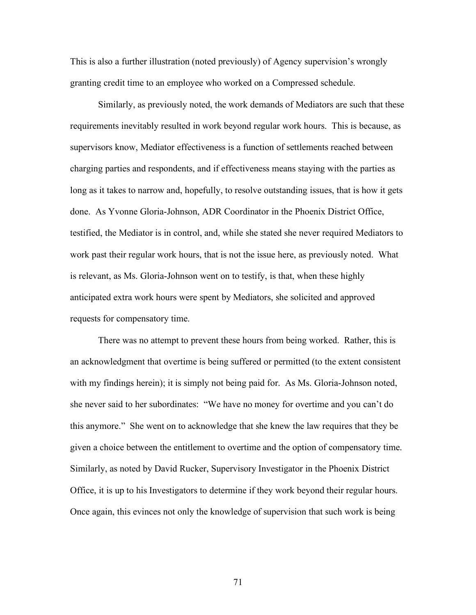This is also a further illustration (noted previously) of Agency supervision's wrongly granting credit time to an employee who worked on a Compressed schedule.

Similarly, as previously noted, the work demands of Mediators are such that these requirements inevitably resulted in work beyond regular work hours. This is because, as supervisors know, Mediator effectiveness is a function of settlements reached between charging parties and respondents, and if effectiveness means staying with the parties as long as it takes to narrow and, hopefully, to resolve outstanding issues, that is how it gets done. As Yvonne Gloria-Johnson, ADR Coordinator in the Phoenix District Office, testified, the Mediator is in control, and, while she stated she never required Mediators to work past their regular work hours, that is not the issue here, as previously noted. What is relevant, as Ms. Gloria-Johnson went on to testify, is that, when these highly anticipated extra work hours were spent by Mediators, she solicited and approved requests for compensatory time.

There was no attempt to prevent these hours from being worked. Rather, this is an acknowledgment that overtime is being suffered or permitted (to the extent consistent with my findings herein); it is simply not being paid for. As Ms. Gloria-Johnson noted, she never said to her subordinates: "We have no money for overtime and you can't do this anymore." She went on to acknowledge that she knew the law requires that they be given a choice between the entitlement to overtime and the option of compensatory time. Similarly, as noted by David Rucker, Supervisory Investigator in the Phoenix District Office, it is up to his Investigators to determine if they work beyond their regular hours. Once again, this evinces not only the knowledge of supervision that such work is being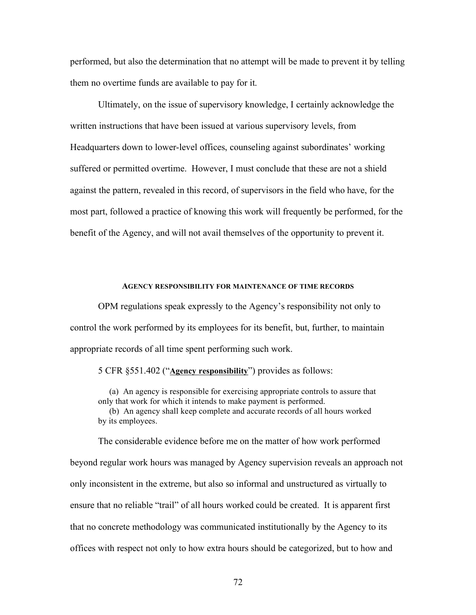performed, but also the determination that no attempt will be made to prevent it by telling them no overtime funds are available to pay for it.

Ultimately, on the issue of supervisory knowledge, I certainly acknowledge the written instructions that have been issued at various supervisory levels, from Headquarters down to lower-level offices, counseling against subordinates' working suffered or permitted overtime. However, I must conclude that these are not a shield against the pattern, revealed in this record, of supervisors in the field who have, for the most part, followed a practice of knowing this work will frequently be performed, for the benefit of the Agency, and will not avail themselves of the opportunity to prevent it.

## **AGENCY RESPONSIBILITY FOR MAINTENANCE OF TIME RECORDS**

OPM regulations speak expressly to the Agency's responsibility not only to control the work performed by its employees for its benefit, but, further, to maintain appropriate records of all time spent performing such work.

5 CFR §551.402 ("**Agency responsibility**") provides as follows:

(a) An agency is responsible for exercising appropriate controls to assure that only that work for which it intends to make payment is performed.

(b) An agency shall keep complete and accurate records of all hours worked by its employees.

The considerable evidence before me on the matter of how work performed beyond regular work hours was managed by Agency supervision reveals an approach not only inconsistent in the extreme, but also so informal and unstructured as virtually to ensure that no reliable "trail" of all hours worked could be created. It is apparent first that no concrete methodology was communicated institutionally by the Agency to its offices with respect not only to how extra hours should be categorized, but to how and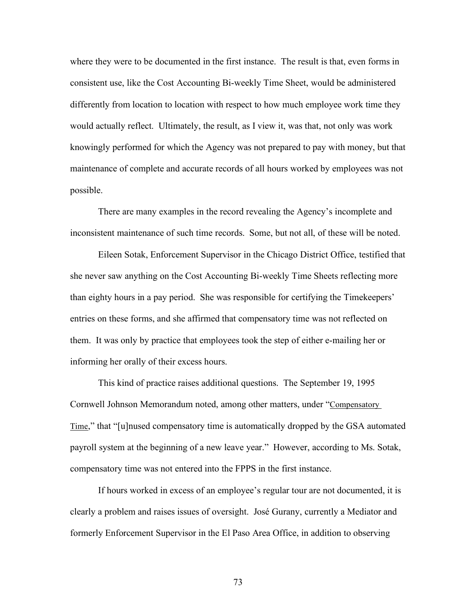where they were to be documented in the first instance. The result is that, even forms in consistent use, like the Cost Accounting Bi-weekly Time Sheet, would be administered differently from location to location with respect to how much employee work time they would actually reflect. Ultimately, the result, as I view it, was that, not only was work knowingly performed for which the Agency was not prepared to pay with money, but that maintenance of complete and accurate records of all hours worked by employees was not possible.

There are many examples in the record revealing the Agency's incomplete and inconsistent maintenance of such time records. Some, but not all, of these will be noted.

Eileen Sotak, Enforcement Supervisor in the Chicago District Office, testified that she never saw anything on the Cost Accounting Bi-weekly Time Sheets reflecting more than eighty hours in a pay period. She was responsible for certifying the Timekeepers' entries on these forms, and she affirmed that compensatory time was not reflected on them. It was only by practice that employees took the step of either e-mailing her or informing her orally of their excess hours.

This kind of practice raises additional questions. The September 19, 1995 Cornwell Johnson Memorandum noted, among other matters, under "Compensatory Time," that "[u]nused compensatory time is automatically dropped by the GSA automated payroll system at the beginning of a new leave year." However, according to Ms. Sotak, compensatory time was not entered into the FPPS in the first instance.

If hours worked in excess of an employee's regular tour are not documented, it is clearly a problem and raises issues of oversight. José Gurany, currently a Mediator and formerly Enforcement Supervisor in the El Paso Area Office, in addition to observing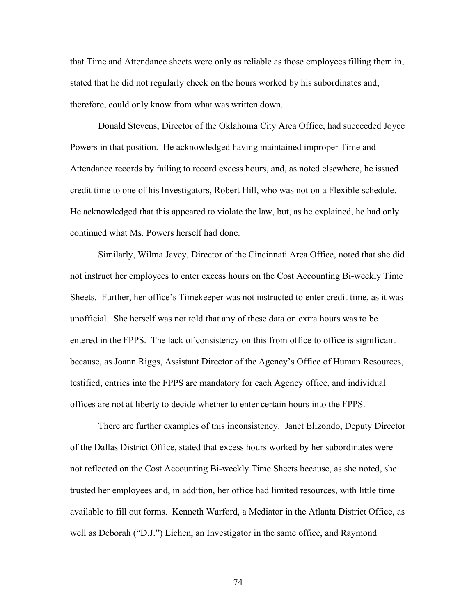that Time and Attendance sheets were only as reliable as those employees filling them in, stated that he did not regularly check on the hours worked by his subordinates and, therefore, could only know from what was written down.

Donald Stevens, Director of the Oklahoma City Area Office, had succeeded Joyce Powers in that position. He acknowledged having maintained improper Time and Attendance records by failing to record excess hours, and, as noted elsewhere, he issued credit time to one of his Investigators, Robert Hill, who was not on a Flexible schedule. He acknowledged that this appeared to violate the law, but, as he explained, he had only continued what Ms. Powers herself had done.

Similarly, Wilma Javey, Director of the Cincinnati Area Office, noted that she did not instruct her employees to enter excess hours on the Cost Accounting Bi-weekly Time Sheets. Further, her office's Timekeeper was not instructed to enter credit time, as it was unofficial. She herself was not told that any of these data on extra hours was to be entered in the FPPS. The lack of consistency on this from office to office is significant because, as Joann Riggs, Assistant Director of the Agency's Office of Human Resources, testified, entries into the FPPS are mandatory for each Agency office, and individual offices are not at liberty to decide whether to enter certain hours into the FPPS.

There are further examples of this inconsistency. Janet Elizondo, Deputy Director of the Dallas District Office, stated that excess hours worked by her subordinates were not reflected on the Cost Accounting Bi-weekly Time Sheets because, as she noted, she trusted her employees and, in addition, her office had limited resources, with little time available to fill out forms. Kenneth Warford, a Mediator in the Atlanta District Office, as well as Deborah ("D.J.") Lichen, an Investigator in the same office, and Raymond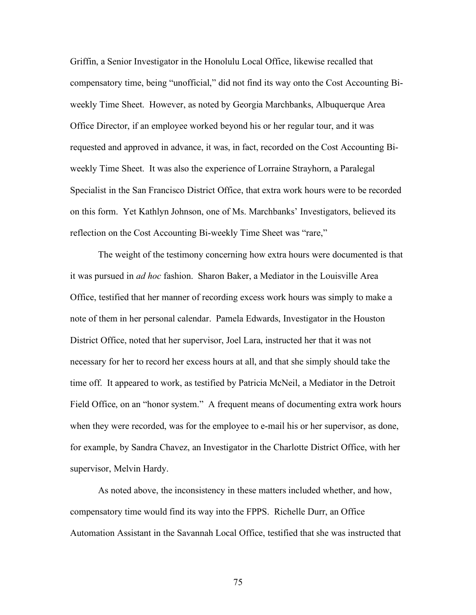Griffin, a Senior Investigator in the Honolulu Local Office, likewise recalled that compensatory time, being "unofficial," did not find its way onto the Cost Accounting Biweekly Time Sheet. However, as noted by Georgia Marchbanks, Albuquerque Area Office Director, if an employee worked beyond his or her regular tour, and it was requested and approved in advance, it was, in fact, recorded on the Cost Accounting Biweekly Time Sheet. It was also the experience of Lorraine Strayhorn, a Paralegal Specialist in the San Francisco District Office, that extra work hours were to be recorded on this form. Yet Kathlyn Johnson, one of Ms. Marchbanks' Investigators, believed its reflection on the Cost Accounting Bi-weekly Time Sheet was "rare,"

The weight of the testimony concerning how extra hours were documented is that it was pursued in *ad hoc* fashion. Sharon Baker, a Mediator in the Louisville Area Office, testified that her manner of recording excess work hours was simply to make a note of them in her personal calendar. Pamela Edwards, Investigator in the Houston District Office, noted that her supervisor, Joel Lara, instructed her that it was not necessary for her to record her excess hours at all, and that she simply should take the time off. It appeared to work, as testified by Patricia McNeil, a Mediator in the Detroit Field Office, on an "honor system." A frequent means of documenting extra work hours when they were recorded, was for the employee to e-mail his or her supervisor, as done, for example, by Sandra Chavez, an Investigator in the Charlotte District Office, with her supervisor, Melvin Hardy.

As noted above, the inconsistency in these matters included whether, and how, compensatory time would find its way into the FPPS. Richelle Durr, an Office Automation Assistant in the Savannah Local Office, testified that she was instructed that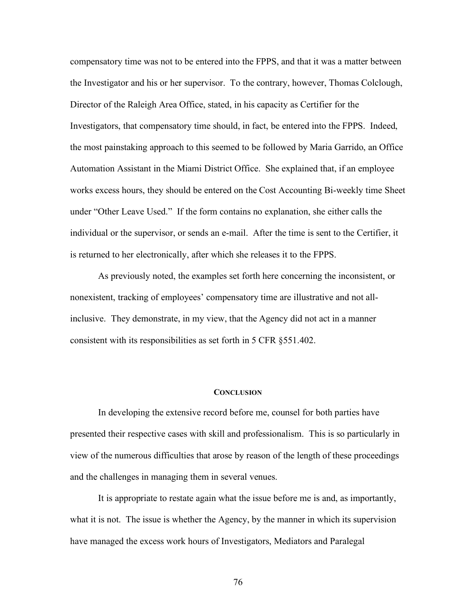compensatory time was not to be entered into the FPPS, and that it was a matter between the Investigator and his or her supervisor. To the contrary, however, Thomas Colclough, Director of the Raleigh Area Office, stated, in his capacity as Certifier for the Investigators, that compensatory time should, in fact, be entered into the FPPS. Indeed, the most painstaking approach to this seemed to be followed by Maria Garrido, an Office Automation Assistant in the Miami District Office. She explained that, if an employee works excess hours, they should be entered on the Cost Accounting Bi-weekly time Sheet under "Other Leave Used." If the form contains no explanation, she either calls the individual or the supervisor, or sends an e-mail. After the time is sent to the Certifier, it is returned to her electronically, after which she releases it to the FPPS.

As previously noted, the examples set forth here concerning the inconsistent, or nonexistent, tracking of employees' compensatory time are illustrative and not allinclusive. They demonstrate, in my view, that the Agency did not act in a manner consistent with its responsibilities as set forth in 5 CFR §551.402.

## **CONCLUSION**

In developing the extensive record before me, counsel for both parties have presented their respective cases with skill and professionalism. This is so particularly in view of the numerous difficulties that arose by reason of the length of these proceedings and the challenges in managing them in several venues.

It is appropriate to restate again what the issue before me is and, as importantly, what it is not. The issue is whether the Agency, by the manner in which its supervision have managed the excess work hours of Investigators, Mediators and Paralegal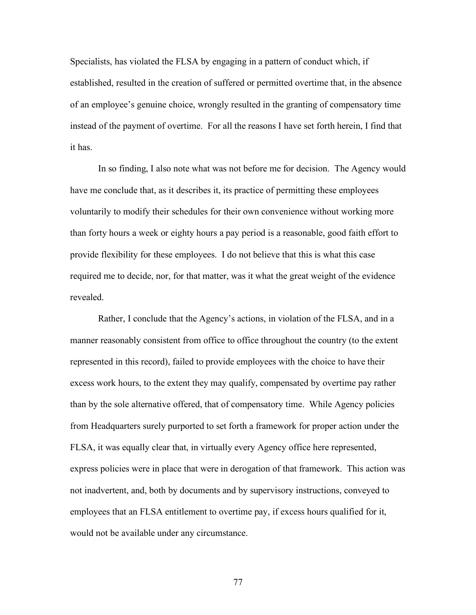Specialists, has violated the FLSA by engaging in a pattern of conduct which, if established, resulted in the creation of suffered or permitted overtime that, in the absence of an employee's genuine choice, wrongly resulted in the granting of compensatory time instead of the payment of overtime. For all the reasons I have set forth herein, I find that it has.

In so finding, I also note what was not before me for decision. The Agency would have me conclude that, as it describes it, its practice of permitting these employees voluntarily to modify their schedules for their own convenience without working more than forty hours a week or eighty hours a pay period is a reasonable, good faith effort to provide flexibility for these employees. I do not believe that this is what this case required me to decide, nor, for that matter, was it what the great weight of the evidence revealed.

Rather, I conclude that the Agency's actions, in violation of the FLSA, and in a manner reasonably consistent from office to office throughout the country (to the extent represented in this record), failed to provide employees with the choice to have their excess work hours, to the extent they may qualify, compensated by overtime pay rather than by the sole alternative offered, that of compensatory time. While Agency policies from Headquarters surely purported to set forth a framework for proper action under the FLSA, it was equally clear that, in virtually every Agency office here represented, express policies were in place that were in derogation of that framework. This action was not inadvertent, and, both by documents and by supervisory instructions, conveyed to employees that an FLSA entitlement to overtime pay, if excess hours qualified for it, would not be available under any circumstance.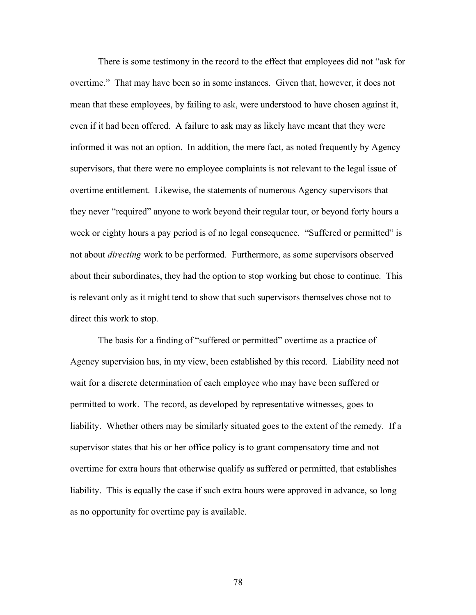There is some testimony in the record to the effect that employees did not "ask for overtime." That may have been so in some instances. Given that, however, it does not mean that these employees, by failing to ask, were understood to have chosen against it, even if it had been offered. A failure to ask may as likely have meant that they were informed it was not an option. In addition, the mere fact, as noted frequently by Agency supervisors, that there were no employee complaints is not relevant to the legal issue of overtime entitlement. Likewise, the statements of numerous Agency supervisors that they never "required" anyone to work beyond their regular tour, or beyond forty hours a week or eighty hours a pay period is of no legal consequence. "Suffered or permitted" is not about *directing* work to be performed. Furthermore, as some supervisors observed about their subordinates, they had the option to stop working but chose to continue. This is relevant only as it might tend to show that such supervisors themselves chose not to direct this work to stop.

The basis for a finding of "suffered or permitted" overtime as a practice of Agency supervision has, in my view, been established by this record. Liability need not wait for a discrete determination of each employee who may have been suffered or permitted to work. The record, as developed by representative witnesses, goes to liability. Whether others may be similarly situated goes to the extent of the remedy. If a supervisor states that his or her office policy is to grant compensatory time and not overtime for extra hours that otherwise qualify as suffered or permitted, that establishes liability. This is equally the case if such extra hours were approved in advance, so long as no opportunity for overtime pay is available.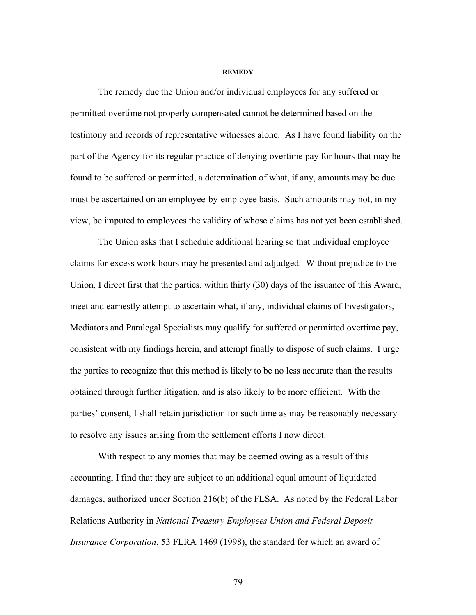## **REMEDY**

The remedy due the Union and/or individual employees for any suffered or permitted overtime not properly compensated cannot be determined based on the testimony and records of representative witnesses alone. As I have found liability on the part of the Agency for its regular practice of denying overtime pay for hours that may be found to be suffered or permitted, a determination of what, if any, amounts may be due must be ascertained on an employee-by-employee basis. Such amounts may not, in my view, be imputed to employees the validity of whose claims has not yet been established.

The Union asks that I schedule additional hearing so that individual employee claims for excess work hours may be presented and adjudged. Without prejudice to the Union, I direct first that the parties, within thirty (30) days of the issuance of this Award, meet and earnestly attempt to ascertain what, if any, individual claims of Investigators, Mediators and Paralegal Specialists may qualify for suffered or permitted overtime pay, consistent with my findings herein, and attempt finally to dispose of such claims. I urge the parties to recognize that this method is likely to be no less accurate than the results obtained through further litigation, and is also likely to be more efficient. With the parties' consent, I shall retain jurisdiction for such time as may be reasonably necessary to resolve any issues arising from the settlement efforts I now direct.

With respect to any monies that may be deemed owing as a result of this accounting, I find that they are subject to an additional equal amount of liquidated damages, authorized under Section 216(b) of the FLSA. As noted by the Federal Labor Relations Authority in *National Treasury Employees Union and Federal Deposit Insurance Corporation*, 53 FLRA 1469 (1998), the standard for which an award of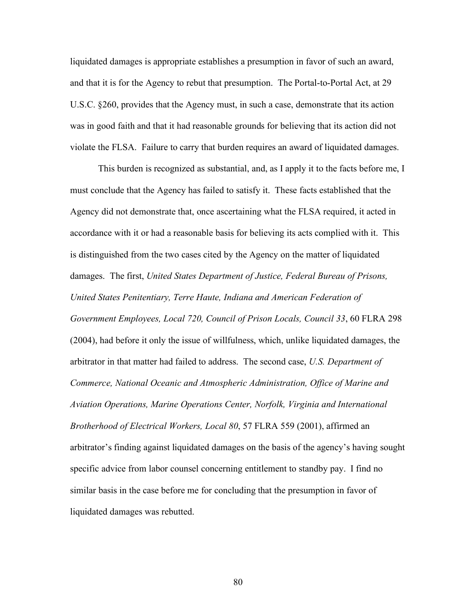liquidated damages is appropriate establishes a presumption in favor of such an award, and that it is for the Agency to rebut that presumption. The Portal-to-Portal Act, at 29 U.S.C. §260, provides that the Agency must, in such a case, demonstrate that its action was in good faith and that it had reasonable grounds for believing that its action did not violate the FLSA. Failure to carry that burden requires an award of liquidated damages.

This burden is recognized as substantial, and, as I apply it to the facts before me, I must conclude that the Agency has failed to satisfy it. These facts established that the Agency did not demonstrate that, once ascertaining what the FLSA required, it acted in accordance with it or had a reasonable basis for believing its acts complied with it. This is distinguished from the two cases cited by the Agency on the matter of liquidated damages. The first, *United States Department of Justice, Federal Bureau of Prisons, United States Penitentiary, Terre Haute, Indiana and American Federation of Government Employees, Local 720, Council of Prison Locals, Council 33*, 60 FLRA 298 (2004), had before it only the issue of willfulness, which, unlike liquidated damages, the arbitrator in that matter had failed to address. The second case, *U.S. Department of Commerce, National Oceanic and Atmospheric Administration, Office of Marine and Aviation Operations, Marine Operations Center, Norfolk, Virginia and International Brotherhood of Electrical Workers, Local 80*, 57 FLRA 559 (2001), affirmed an arbitrator's finding against liquidated damages on the basis of the agency's having sought specific advice from labor counsel concerning entitlement to standby pay. I find no similar basis in the case before me for concluding that the presumption in favor of liquidated damages was rebutted.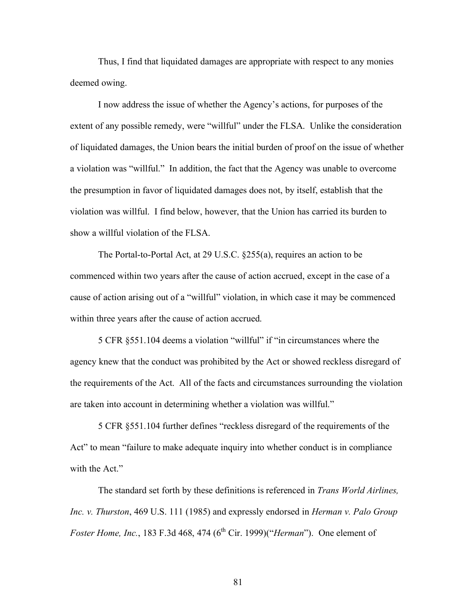Thus, I find that liquidated damages are appropriate with respect to any monies deemed owing.

I now address the issue of whether the Agency's actions, for purposes of the extent of any possible remedy, were "willful" under the FLSA. Unlike the consideration of liquidated damages, the Union bears the initial burden of proof on the issue of whether a violation was "willful." In addition, the fact that the Agency was unable to overcome the presumption in favor of liquidated damages does not, by itself, establish that the violation was willful. I find below, however, that the Union has carried its burden to show a willful violation of the FLSA.

The Portal-to-Portal Act, at 29 U.S.C. §255(a), requires an action to be commenced within two years after the cause of action accrued, except in the case of a cause of action arising out of a "willful" violation, in which case it may be commenced within three years after the cause of action accrued.

5 CFR §551.104 deems a violation "willful" if "in circumstances where the agency knew that the conduct was prohibited by the Act or showed reckless disregard of the requirements of the Act. All of the facts and circumstances surrounding the violation are taken into account in determining whether a violation was willful."

5 CFR §551.104 further defines "reckless disregard of the requirements of the Act" to mean "failure to make adequate inquiry into whether conduct is in compliance with the Act."

The standard set forth by these definitions is referenced in *Trans World Airlines, Inc. v. Thurston*, 469 U.S. 111 (1985) and expressly endorsed in *Herman v. Palo Group Foster Home, Inc.*, 183 F.3d 468, 474 (6<sup>th</sup> Cir. 1999)("*Herman*"). One element of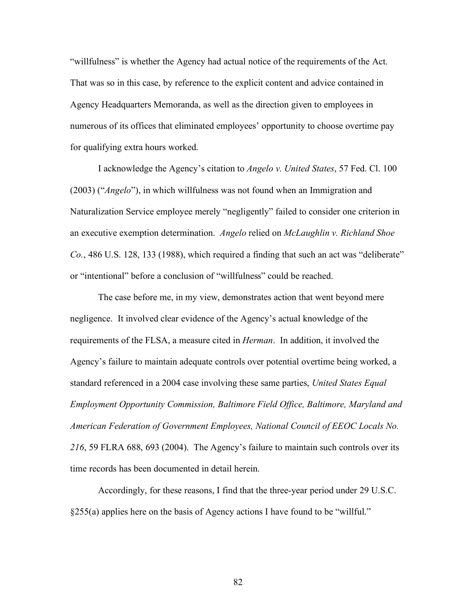"willfulness" is whether the Agency had actual notice of the requirements of the Act. That was so in this case, by reference to the explicit content and advice contained in Agency Headquarters Memoranda, as well as the direction given to employees in numerous of its offices that eliminated employees' opportunity to choose overtime pay for qualifying extra hours worked.

I acknowledge the Agency's citation to *Angelo v. United States*, 57 Fed. Cl. 100 (2003) ("*Angelo*"), in which willfulness was not found when an Immigration and Naturalization Service employee merely "negligently" failed to consider one criterion in an executive exemption determination. *Angelo* relied on *McLaughlin v. Richland Shoe Co.*, 486 U.S. 128, 133 (1988), which required a finding that such an act was "deliberate" or "intentional" before a conclusion of "willfulness" could be reached.

The case before me, in my view, demonstrates action that went beyond mere negligence. It involved clear evidence of the Agency's actual knowledge of the requirements of the FLSA, a measure cited in *Herman*. In addition, it involved the Agency's failure to maintain adequate controls over potential overtime being worked, a standard referenced in a 2004 case involving these same parties, *United States Equal Employment Opportunity Commission, Baltimore Field Office, Baltimore, Maryland and American Federation of Government Employees, National Council of EEOC Locals No. 216*, 59 FLRA 688, 693 (2004). The Agency's failure to maintain such controls over its time records has been documented in detail herein.

Accordingly, for these reasons, I find that the three-year period under 29 U.S.C. §255(a) applies here on the basis of Agency actions I have found to be "willful."